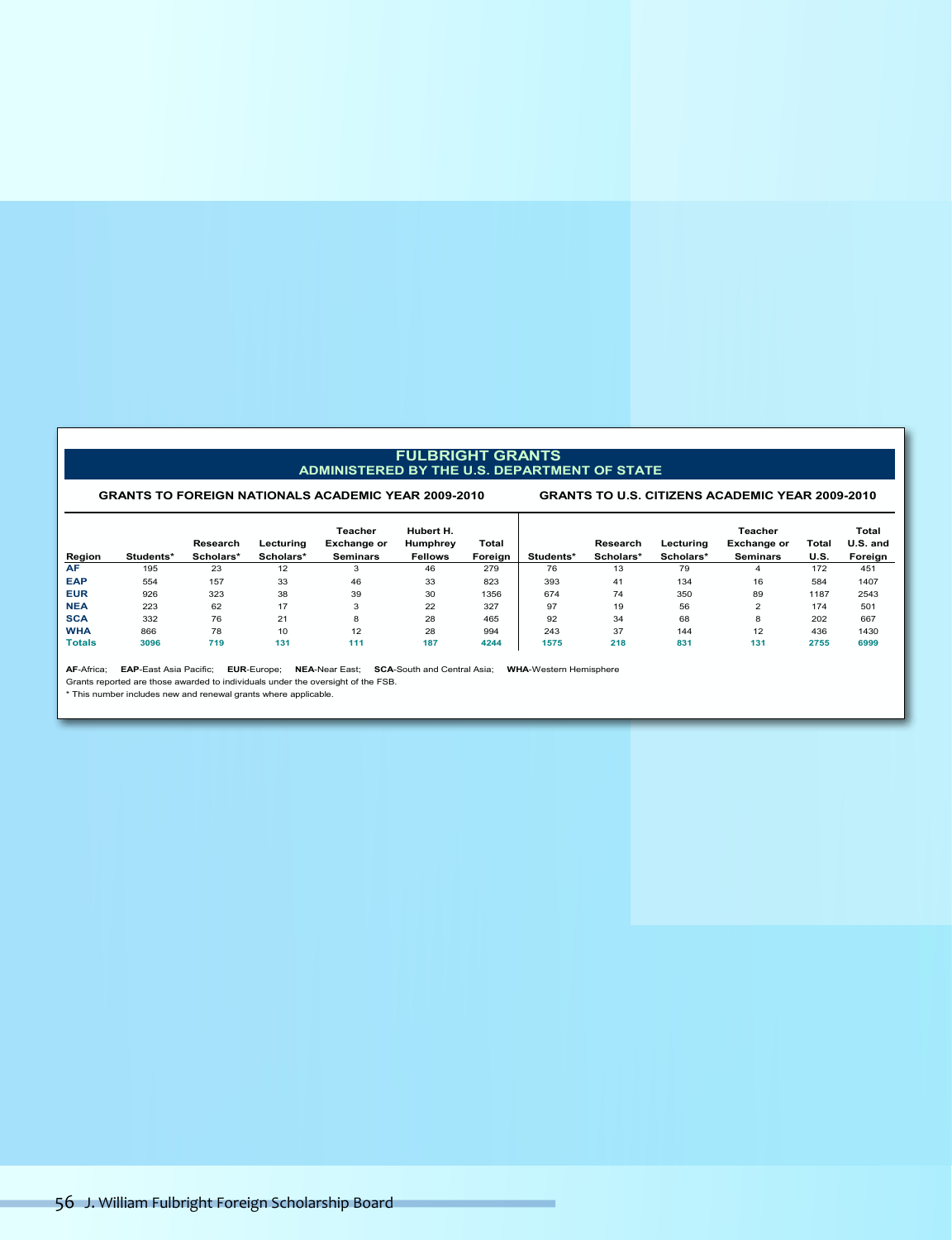#### **FULBRIGHT GRANTS ADMINISTERED BY THE U.S. DEPARTMENT OF STATE**

#### **GRANTS TO FOREIGN NATIONALS ACADEMIC YEAR 2009-2010 GRANTS TO U.S. CITIZENS ACADEMIC YEAR 2009-2010**

| Region        | Students* | Research<br>Scholars* | Lecturing<br>Scholars* | Teacher<br><b>Exchange or</b><br><b>Seminars</b> | Hubert H.<br>Humphrey<br><b>Fellows</b> | Total<br>Foreign | Students* | Research<br>Scholars* | Lecturing<br>Scholars* | <b>Teacher</b><br><b>Exchange or</b><br><b>Seminars</b> | Total<br><b>U.S.</b> | Total<br>U.S. and<br>Foreign |
|---------------|-----------|-----------------------|------------------------|--------------------------------------------------|-----------------------------------------|------------------|-----------|-----------------------|------------------------|---------------------------------------------------------|----------------------|------------------------------|
| <b>AF</b>     | 195       | 23                    | 12                     | -5                                               | 46                                      | 279              | 76        | 13                    | 79                     |                                                         | 172                  | 451                          |
| <b>EAP</b>    | 554       | 157                   | 33                     | 46                                               | 33                                      | 823              | 393       | 41                    | 134                    | 16                                                      | 584                  | 1407                         |
| <b>EUR</b>    | 926       | 323                   | 38                     | 39                                               | 30                                      | 1356             | 674       | 74                    | 350                    | 89                                                      | 1187                 | 2543                         |
| <b>NEA</b>    | 223       | 62                    | 17                     | 3                                                | 22                                      | 327              | 97        | 19                    | 56                     | $\sqrt{2}$                                              | 174                  | 501                          |
| <b>SCA</b>    | 332       | 76                    | 21                     | 8                                                | 28                                      | 465              | 92        | 34                    | 68                     | 8                                                       | 202                  | 667                          |
| <b>WHA</b>    | 866       | 78                    | 10                     | 12                                               | 28                                      | 994              | 243       | 37                    | 144                    | 12                                                      | 436                  | 1430                         |
| <b>Totals</b> | 3096      | 719                   | 131                    | 111                                              | 187                                     | 4244             | 1575      | 218                   | 831                    | 131                                                     | 2755                 | 6999                         |

**AF**-Africa; **EAP**-East Asia Pacific; **EUR**-Europe; **NEA**-Near East; **SCA**-South and Central Asia; **WHA**-Western Hemisphere

Grants reported are those awarded to individuals under the oversight of the FSB. \* This number includes new and renewal grants where applicable.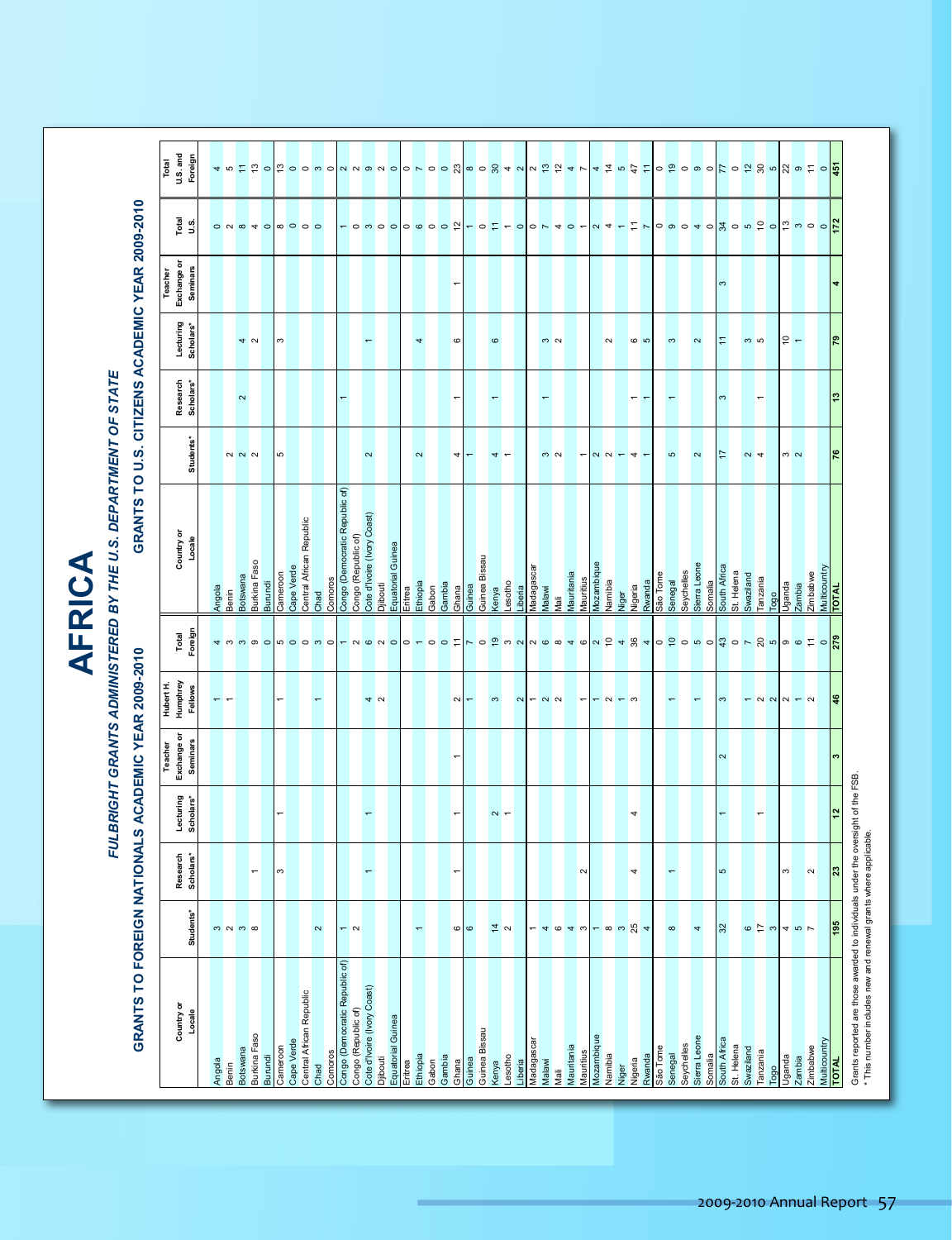| ۳ |  |
|---|--|
|   |  |
|   |  |
|   |  |
| c |  |

# *FULBRIGHT GRANTS ADMINISTERED BY THE U.S. DEPARTMENT OF STATE FULBRIGHT GRANTS ADMINISTERED BY THE U.S. DEPARTMENT OF STATE* FULBRIGHT GRANTS ADMINISTERED BY THE U.S. DEPARTMENT OF STATE

# **GRANTS TO FOREIGN NATIONALS ACADEMIC YEAR 2009-2010 GRANTS TO U.S. CITIZENS ACADEMIC YEAR 2009-2010** GRANTS TO FOREIGN NATIONALS ACADEMIC YEAR 2009-2010

#### GRANTS TO U.S. CITIZENS ACADEMIC YEAR 2009-2010

|                                                                                                                                                     |                                    |                          |                          | Teacher                                    |                                                                                                                                                                                                                                                                                                                                                                                                                                     |                                           |                             |                          | Teacher                                   |                                                                                     |                                                                                                                                                    |
|-----------------------------------------------------------------------------------------------------------------------------------------------------|------------------------------------|--------------------------|--------------------------|--------------------------------------------|-------------------------------------------------------------------------------------------------------------------------------------------------------------------------------------------------------------------------------------------------------------------------------------------------------------------------------------------------------------------------------------------------------------------------------------|-------------------------------------------|-----------------------------|--------------------------|-------------------------------------------|-------------------------------------------------------------------------------------|----------------------------------------------------------------------------------------------------------------------------------------------------|
| Country or                                                                                                                                          |                                    |                          |                          | Hubert H.<br>Humphrey<br>Exchange or       | Total                                                                                                                                                                                                                                                                                                                                                                                                                               | Country or                                |                             |                          | Exchange or                               |                                                                                     | Total<br>U.S. and                                                                                                                                  |
| Locale                                                                                                                                              | Students*                          | Research<br>Scholars*    | Lecturing<br>Scholars*   | Fellows<br><b>Seminars</b>                 | Foreign                                                                                                                                                                                                                                                                                                                                                                                                                             | Locale                                    | Students*                   | Research<br>Scholars*    | <b>Seminars</b><br>Lecturing<br>Scholars* | $\begin{array}{c}\n\overline{\phantom{a}} \\ U.\phantom{a}\phantom{a}\n\end{array}$ | Foreign                                                                                                                                            |
|                                                                                                                                                     |                                    |                          |                          |                                            |                                                                                                                                                                                                                                                                                                                                                                                                                                     |                                           |                             |                          |                                           |                                                                                     |                                                                                                                                                    |
| Angola<br>Benin                                                                                                                                     | $m$ $n$ $m$ $\infty$               |                          |                          | $\overline{\phantom{0}}$<br>$\overline{ }$ | $\begin{array}{c c c c c} \hline \textbf{a} & \textbf{b} & \textbf{c} & \textbf{c} \\\hline \textbf{b} & \textbf{c} & \textbf{c} & \textbf{c} \\\hline \textbf{c} & \textbf{c} & \textbf{c} & \textbf{c} \\\hline \textbf{c} & \textbf{c} & \textbf{c} & \textbf{c} \\\hline \textbf{c} & \textbf{c} & \textbf{c} & \textbf{c} \\\hline \textbf{c} & \textbf{c} & \textbf{c} & \textbf{c} \\\hline \textbf{c} & \textbf{c} & \text$ | Angola<br>Benin                           |                             |                          |                                           | 0 N @ 4 O                                                                           | <mark>4 ம 는 ㅎ ㅇ ㅎ ㅇ ㅇ ㅇ ㅇ ㅇ ㅇ ㅇ ㅇ ㅇ ㅇ ☆ ㅇ ㅇ ☆ <i>ㅋ ㅇ</i> ㅇ ☆ <i>ㅋ ㄴ</i> <mark>+ キ r ☆ + ㅇ ㅎ ㅇ ㅇ ㅇ ㅇ ㅎ ㅇ ☆ ☆ ㅎ ㅎ ㅇ ㅎ</mark> ㅎ <mark>ㅎ</mark></mark> |
| <b>Botswana</b>                                                                                                                                     |                                    |                          |                          |                                            |                                                                                                                                                                                                                                                                                                                                                                                                                                     | <b>Botswana</b>                           |                             | $\boldsymbol{\sim}$      |                                           |                                                                                     |                                                                                                                                                    |
| Burkina Faso                                                                                                                                        |                                    | $\overline{\phantom{m}}$ |                          |                                            |                                                                                                                                                                                                                                                                                                                                                                                                                                     | Burkina Faso                              | $N$ $N$ $N$                 |                          | 4 <sub>o</sub>                            |                                                                                     |                                                                                                                                                    |
| Burundi                                                                                                                                             |                                    |                          |                          |                                            |                                                                                                                                                                                                                                                                                                                                                                                                                                     | Burundi                                   |                             |                          |                                           |                                                                                     |                                                                                                                                                    |
| Cameroon                                                                                                                                            |                                    | $\mathfrak{S}$           | $\overline{a}$           | $\overline{a}$                             |                                                                                                                                                                                                                                                                                                                                                                                                                                     | Cameroon                                  | $\mathfrak{S}$              |                          | $\mathfrak{S}$                            |                                                                                     |                                                                                                                                                    |
| Cape Verde                                                                                                                                          |                                    |                          |                          |                                            |                                                                                                                                                                                                                                                                                                                                                                                                                                     | Cape Verde                                |                             |                          |                                           | $\begin{array}{c c c c c} \hline \circ & \circ & \circ \end{array}$                 |                                                                                                                                                    |
| Central African Republic                                                                                                                            |                                    |                          |                          |                                            |                                                                                                                                                                                                                                                                                                                                                                                                                                     | Central African Republic                  |                             |                          |                                           |                                                                                     |                                                                                                                                                    |
| Chad                                                                                                                                                | $\sim$                             |                          |                          | $\overline{}$                              |                                                                                                                                                                                                                                                                                                                                                                                                                                     | Chad                                      |                             |                          |                                           |                                                                                     |                                                                                                                                                    |
| Comoros                                                                                                                                             |                                    |                          |                          |                                            |                                                                                                                                                                                                                                                                                                                                                                                                                                     | Comoros<br>Congo (Democratic Republic of) |                             |                          |                                           |                                                                                     |                                                                                                                                                    |
| Congo (Democratic Republic of)                                                                                                                      | $ \sim$                            |                          |                          |                                            |                                                                                                                                                                                                                                                                                                                                                                                                                                     | Congo (Republic of)                       |                             |                          |                                           |                                                                                     |                                                                                                                                                    |
| Congo (Republic of)                                                                                                                                 |                                    | $\overline{\phantom{0}}$ | $\overline{\phantom{0}}$ |                                            |                                                                                                                                                                                                                                                                                                                                                                                                                                     | Cote d'Ivoire (Ivory Coast)               | $\sim$                      |                          | $\overline{\phantom{0}}$                  |                                                                                     |                                                                                                                                                    |
| Cote d'Ivoire (Ivory Coast)<br>Djibouti                                                                                                             |                                    |                          |                          | 4N                                         |                                                                                                                                                                                                                                                                                                                                                                                                                                     | Djibouti                                  |                             |                          |                                           |                                                                                     |                                                                                                                                                    |
| Equatorial Guinea                                                                                                                                   |                                    |                          |                          |                                            |                                                                                                                                                                                                                                                                                                                                                                                                                                     | Equatorial Guinea                         |                             |                          |                                           |                                                                                     |                                                                                                                                                    |
| Eritrea                                                                                                                                             |                                    |                          |                          |                                            |                                                                                                                                                                                                                                                                                                                                                                                                                                     | Eritrea                                   |                             |                          |                                           |                                                                                     |                                                                                                                                                    |
| Ethiopia                                                                                                                                            | $\overline{\phantom{0}}$           |                          |                          |                                            |                                                                                                                                                                                                                                                                                                                                                                                                                                     | Ethiopia                                  | $\sim$                      |                          | 4                                         |                                                                                     |                                                                                                                                                    |
| Gabon                                                                                                                                               |                                    |                          |                          |                                            |                                                                                                                                                                                                                                                                                                                                                                                                                                     |                                           |                             |                          |                                           |                                                                                     |                                                                                                                                                    |
| Gambia                                                                                                                                              |                                    |                          |                          |                                            |                                                                                                                                                                                                                                                                                                                                                                                                                                     | Gabon<br>Gambia                           |                             |                          |                                           |                                                                                     |                                                                                                                                                    |
| Ghana                                                                                                                                               | $\circ$                            | $\overline{\phantom{0}}$ | $\overline{\phantom{0}}$ | $\sim$<br>$\overline{a}$                   |                                                                                                                                                                                                                                                                                                                                                                                                                                     | Ghana                                     | $\left  \cdot \right $      | $\overline{\phantom{0}}$ | $\overline{a}$<br>$\circ$                 |                                                                                     |                                                                                                                                                    |
| Guinea                                                                                                                                              | $\pmb{\circ}$                      |                          |                          | $\overline{}$                              |                                                                                                                                                                                                                                                                                                                                                                                                                                     | Guinea                                    | $\overline{\phantom{a}}$    |                          |                                           |                                                                                     |                                                                                                                                                    |
| Guinea Bissau                                                                                                                                       |                                    |                          |                          |                                            |                                                                                                                                                                                                                                                                                                                                                                                                                                     | Guinea Bissau                             |                             |                          |                                           |                                                                                     |                                                                                                                                                    |
|                                                                                                                                                     |                                    |                          |                          | $\infty$                                   |                                                                                                                                                                                                                                                                                                                                                                                                                                     | Kenya                                     |                             | $\overline{\phantom{0}}$ | $\pmb{\circ}$                             |                                                                                     |                                                                                                                                                    |
| Kenya<br>Lesotho                                                                                                                                    | $\frac{4}{9}$ $\alpha$             |                          | $\sim$ $-$               |                                            |                                                                                                                                                                                                                                                                                                                                                                                                                                     | Lesotho                                   | $\rightarrow$ $\rightarrow$ |                          |                                           |                                                                                     |                                                                                                                                                    |
| Liberia                                                                                                                                             |                                    |                          |                          |                                            |                                                                                                                                                                                                                                                                                                                                                                                                                                     | Liberia                                   |                             |                          |                                           |                                                                                     |                                                                                                                                                    |
| Madagascar                                                                                                                                          |                                    |                          |                          |                                            |                                                                                                                                                                                                                                                                                                                                                                                                                                     | Madagascar                                |                             |                          |                                           |                                                                                     |                                                                                                                                                    |
| Malawi                                                                                                                                              |                                    |                          |                          | $N - N$                                    |                                                                                                                                                                                                                                                                                                                                                                                                                                     | Malawi                                    |                             | ÷                        |                                           |                                                                                     |                                                                                                                                                    |
| Mali                                                                                                                                                |                                    |                          |                          |                                            |                                                                                                                                                                                                                                                                                                                                                                                                                                     | Maii                                      | $\frac{1}{2}$               |                          | $\frac{1}{2}$                             |                                                                                     |                                                                                                                                                    |
| Mauritania                                                                                                                                          | $-404w$                            |                          |                          |                                            |                                                                                                                                                                                                                                                                                                                                                                                                                                     | Mauritania                                |                             |                          |                                           |                                                                                     |                                                                                                                                                    |
| Mauritius                                                                                                                                           |                                    | $\sim$                   |                          |                                            |                                                                                                                                                                                                                                                                                                                                                                                                                                     | Mauritius                                 |                             |                          |                                           |                                                                                     |                                                                                                                                                    |
|                                                                                                                                                     |                                    |                          |                          | $\overline{\phantom{m}}$                   |                                                                                                                                                                                                                                                                                                                                                                                                                                     |                                           |                             |                          |                                           |                                                                                     |                                                                                                                                                    |
| Mozambique                                                                                                                                          |                                    |                          |                          |                                            |                                                                                                                                                                                                                                                                                                                                                                                                                                     | siquue<br>Mamisique                       |                             |                          |                                           |                                                                                     |                                                                                                                                                    |
| Namibia                                                                                                                                             |                                    |                          |                          |                                            |                                                                                                                                                                                                                                                                                                                                                                                                                                     |                                           |                             |                          | $\sim$                                    |                                                                                     |                                                                                                                                                    |
| Niger                                                                                                                                               | $ \infty$ $\infty$ $\frac{10}{24}$ |                          |                          | $-9 - 9$                                   |                                                                                                                                                                                                                                                                                                                                                                                                                                     | Niger                                     | $-100 = 0 + 0$              |                          |                                           |                                                                                     |                                                                                                                                                    |
| Nigeria                                                                                                                                             |                                    | 4                        | 4                        |                                            |                                                                                                                                                                                                                                                                                                                                                                                                                                     | Rwanda<br>Nigeria                         |                             | $\overline{\phantom{0}}$ | $\frac{1}{2}$                             |                                                                                     |                                                                                                                                                    |
| Rwanda                                                                                                                                              |                                    |                          |                          |                                            |                                                                                                                                                                                                                                                                                                                                                                                                                                     |                                           |                             | ٣                        |                                           |                                                                                     |                                                                                                                                                    |
| São Tome                                                                                                                                            |                                    |                          |                          |                                            |                                                                                                                                                                                                                                                                                                                                                                                                                                     | São Tome                                  |                             |                          |                                           |                                                                                     |                                                                                                                                                    |
| Senegal                                                                                                                                             | $\infty$                           | $\leftarrow$             |                          |                                            |                                                                                                                                                                                                                                                                                                                                                                                                                                     | Senegal                                   | $\mathfrak{S}$              | $\overline{\phantom{0}}$ | $\boldsymbol{\omega}$                     |                                                                                     |                                                                                                                                                    |
| Sierra Leone<br>Seychelles                                                                                                                          |                                    |                          |                          |                                            |                                                                                                                                                                                                                                                                                                                                                                                                                                     | Sierra Leone<br>Seychelles                |                             |                          |                                           |                                                                                     |                                                                                                                                                    |
| Somalia                                                                                                                                             | 4                                  |                          |                          | $\overline{\phantom{0}}$                   |                                                                                                                                                                                                                                                                                                                                                                                                                                     | Somalia                                   | $\sim$                      |                          | $\sim$                                    |                                                                                     |                                                                                                                                                    |
| South Africa                                                                                                                                        | 32                                 | LO.                      | $\overline{\phantom{0}}$ | $\infty$<br>$\sim$                         |                                                                                                                                                                                                                                                                                                                                                                                                                                     | South Africa                              | $\overline{1}$              | $\boldsymbol{\infty}$    | $\infty$<br>$\overline{\phantom{a}}$      |                                                                                     |                                                                                                                                                    |
| St. Helena                                                                                                                                          |                                    |                          |                          |                                            |                                                                                                                                                                                                                                                                                                                                                                                                                                     | St. Helena                                |                             |                          |                                           |                                                                                     |                                                                                                                                                    |
| Swaziland                                                                                                                                           |                                    |                          |                          |                                            |                                                                                                                                                                                                                                                                                                                                                                                                                                     | Swaziland                                 |                             |                          |                                           |                                                                                     |                                                                                                                                                    |
| Tanzania                                                                                                                                            | $\circ$ $\frac{1}{2}$ $\circ$      |                          | $\overline{\phantom{0}}$ |                                            |                                                                                                                                                                                                                                                                                                                                                                                                                                     | Tanzania                                  | $\sim$ 4                    | $\overline{\phantom{0}}$ | က ဟ                                       |                                                                                     |                                                                                                                                                    |
| Togo                                                                                                                                                |                                    |                          |                          |                                            |                                                                                                                                                                                                                                                                                                                                                                                                                                     | Togo                                      |                             |                          |                                           |                                                                                     |                                                                                                                                                    |
| Uganda                                                                                                                                              |                                    | $\infty$                 |                          | $ \alpha$ $\alpha$ $\alpha$ $ \alpha$      |                                                                                                                                                                                                                                                                                                                                                                                                                                     | Uganda                                    | $\frac{1}{2}$               |                          | $\frac{1}{\pi}$                           |                                                                                     |                                                                                                                                                    |
| Zambia                                                                                                                                              | 40 <sub>k</sub>                    |                          |                          |                                            |                                                                                                                                                                                                                                                                                                                                                                                                                                     | Zambia                                    |                             |                          |                                           |                                                                                     |                                                                                                                                                    |
| Zimbabwe                                                                                                                                            |                                    | $\sim$                   |                          |                                            |                                                                                                                                                                                                                                                                                                                                                                                                                                     | Zimbabwe                                  |                             |                          |                                           |                                                                                     |                                                                                                                                                    |
| Multicountry<br>TOTAL                                                                                                                               |                                    |                          |                          |                                            |                                                                                                                                                                                                                                                                                                                                                                                                                                     | Multicountry<br>TOTAL                     |                             |                          |                                           |                                                                                     |                                                                                                                                                    |
|                                                                                                                                                     | 195                                | $\overline{23}$          | 12                       | 46<br>$\bullet$                            |                                                                                                                                                                                                                                                                                                                                                                                                                                     |                                           | 76                          | 13                       | 4<br>$\sqrt{2}$                           |                                                                                     |                                                                                                                                                    |
| Grants reported are those awarded to individuals under the oversight of the FSB.<br>* This number includes new and renewal grants where applicable. |                                    |                          |                          |                                            |                                                                                                                                                                                                                                                                                                                                                                                                                                     |                                           |                             |                          |                                           |                                                                                     |                                                                                                                                                    |
|                                                                                                                                                     |                                    |                          |                          |                                            |                                                                                                                                                                                                                                                                                                                                                                                                                                     |                                           |                             |                          |                                           |                                                                                     |                                                                                                                                                    |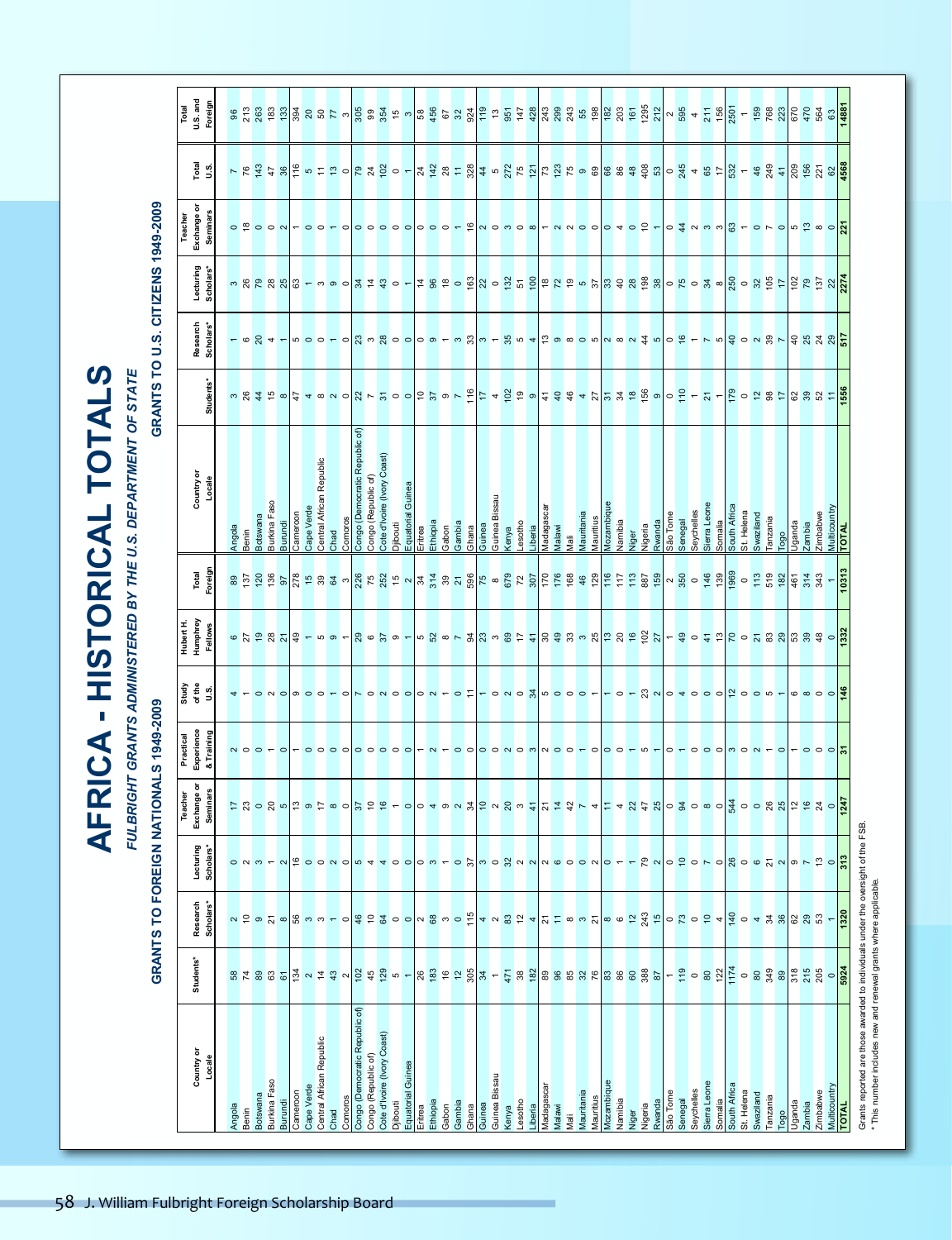**AFRICA - HISTORICAL TOTALS AFRICA - HISTORICAL TOTALS**

FULBRIGHT GRANTS ADMINISTERED BY THE U.S. DEPARTMENT OF STATE *FULBRIGHT GRANTS ADMINISTERED BY THE U.S. DEPARTMENT OF STATE FULBRIGHT GRANTS ADMINISTERED BY THE U.S. DEPARTMENT OF STATE*

### **GRANTS TO FOREIGN NATIONALS 1949-2009 GRANTS TO U.S. CITIZENS 1949-2009** GRANTS TO FOREIGN NATIONALS 1949-2009

#### GRANTS TO U.S. CITIZENS 1949-2009

| $\circ \overset{\circ}{\bullet} \circ \circ \circ \textcolor{red}{\circ} \textcolor{red}{\bullet} \circ \circ \textcolor{red}{\bullet} \textcolor{red}{\bullet}$<br>မ မင်္မာများ ေမာမ္းနဲ႔ ေမာင္းနဲ႔ ေမာင္းဆုံး ျဖစ္ပါတီ အခု အဆို အခု အေျပာင္း အခု ျပင္း အခု ေတြ ေမာင္းဆုံးမွာ အခု<br>- © 8 4 - w o o - ㅇ <mark>8 ω x ㅇ ㅇ ㅇ ㅇ ㅜ ω x} ω - *  ω 여 +</mark> is ㅇ ㅇ ㅇ w ~ ∞ ㅇ ㅊ ω ㅇ ㅎ ㅜ ㄴ ω <mark>ㅎ ㅇ ㅆ » ㄴ ㅎ ☆ ☆ ☆ ☆ !;</mark><br>ngola                               |
|--------------------------------------------------------------------------------------------------------------------------------------------------------------------------------------------------------------------------------------------------------------------------------------------------------------------------------------------------------------------------------------------------------------------------------------------------------------------|
|                                                                                                                                                                                                                                                                                                                                                                                                                                                                    |
| Benin                                                                                                                                                                                                                                                                                                                                                                                                                                                              |
| େ ମେ କେ ୪ <mark>ଏ</mark> ୫ – ୦ ୦ – <mark>୪ ୦ ୪ ୦ – ୦ ୪ ୦ – ୧ ୪</mark> ୪ ୦ ୫ <del>୮ ୧ ୪</del> ୫ ୫ ୬ % % % % % % % <u>୪</u> ୮ ୫ ୦ <del>୧</del> ୪ ୮ ୦ ୪ ଅ % % % % % % %                                                                                                                                                                                                                                                                                               |
| 4 - 0 N 0   0 0 0 - 0   0 0 N 0 0   0 N - 0 L   - 0 N 0 3   0 0 0 0 -   - 0 - 8 N 0 4 0 0 0   2 0 0 0 -   0 0 0 0   2<br>$N$ $O$ $O$ $P$ $O$                                                                                                                                                                                                                                                                                                                       |
|                                                                                                                                                                                                                                                                                                                                                                                                                                                                    |
| $\circ$ $\frac{1}{2}$ ທ<br>0 N <sub>m</sub>                                                                                                                                                                                                                                                                                                                                                                                                                        |
|                                                                                                                                                                                                                                                                                                                                                                                                                                                                    |
|                                                                                                                                                                                                                                                                                                                                                                                                                                                                    |
| $\begin{array}{c c c c c c c c c} \hline \multicolumn{3}{c }{\sim} & \multicolumn{3}{c }{\sim} & \multicolumn{3}{c }{\sim} & \multicolumn{3}{c }{\sim} & \multicolumn{3}{c }{\sim} & \multicolumn{3}{c }{\sim} & \multicolumn{3}{c }{\sim} & \multicolumn{3}{c }{\sim} & \multicolumn{3}{c }{\sim} & \multicolumn{3}{c }{\sim} & \multicolumn{3}{c }{\sim} & \multicolumn{3}{c }{\sim} & \multicolumn{3}{c }{\sim} & \multicolumn{3}{c }{\sim$<br>ි<br><b>8228</b> |

\* This number includes new and renewal grants where applicable.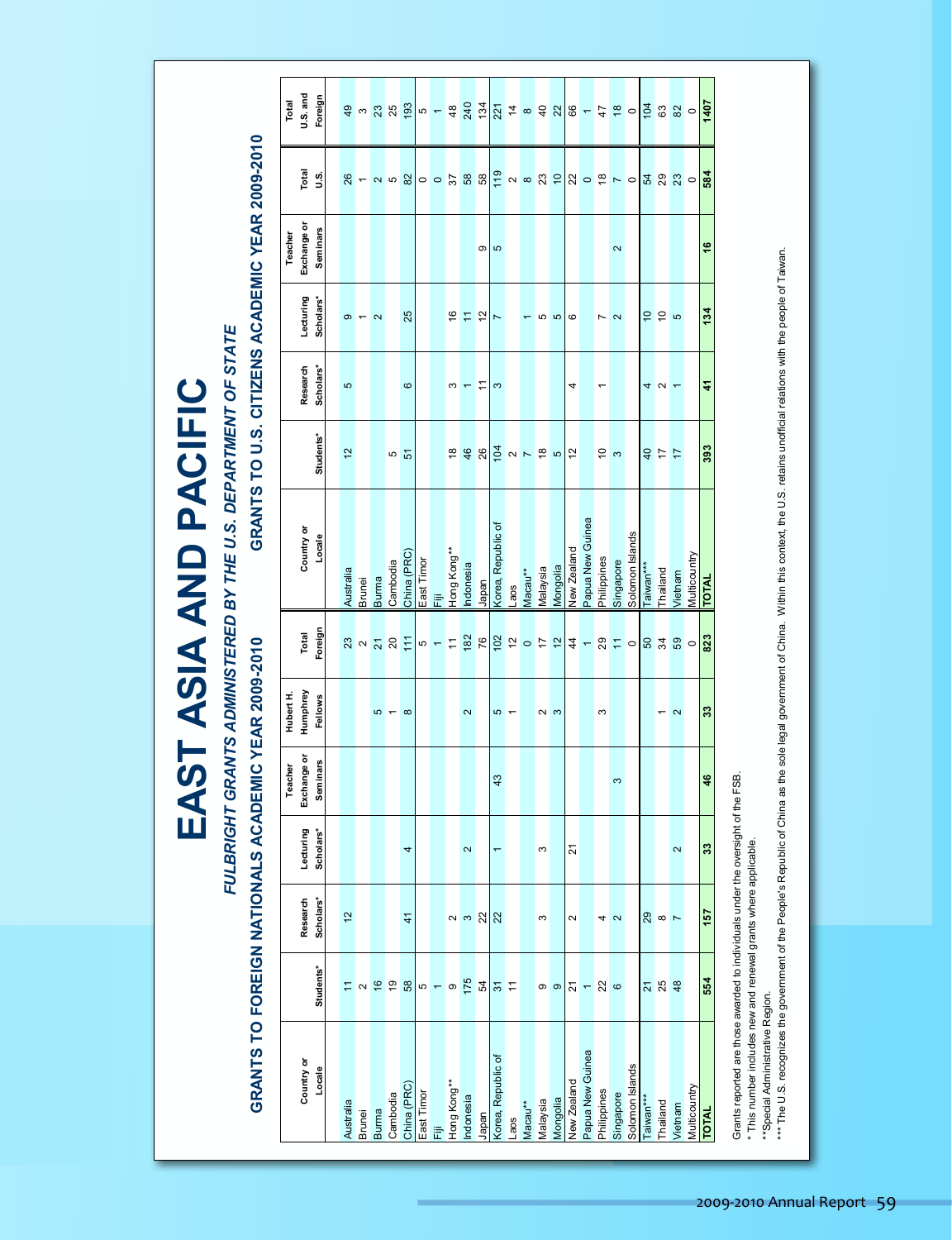|                                          |                                                                                   |                          |             |                                              |                                    | EAST ASIA AND PACIFIC                                                                                           |                           |                                                                                                                                                                                                                                                                                                                                                                                                                                                                                                                                                                                                                                                                                                                                          |                       |                                                                                                                                                                                                                                 |
|------------------------------------------|-----------------------------------------------------------------------------------|--------------------------|-------------|----------------------------------------------|------------------------------------|-----------------------------------------------------------------------------------------------------------------|---------------------------|------------------------------------------------------------------------------------------------------------------------------------------------------------------------------------------------------------------------------------------------------------------------------------------------------------------------------------------------------------------------------------------------------------------------------------------------------------------------------------------------------------------------------------------------------------------------------------------------------------------------------------------------------------------------------------------------------------------------------------------|-----------------------|---------------------------------------------------------------------------------------------------------------------------------------------------------------------------------------------------------------------------------|
|                                          |                                                                                   |                          |             |                                              |                                    | FULBRIGHT GRANTS ADMINISTERED BY THE U.S. DEPARTMENT OF STATE                                                   |                           |                                                                                                                                                                                                                                                                                                                                                                                                                                                                                                                                                                                                                                                                                                                                          |                       |                                                                                                                                                                                                                                 |
| <b>GRANTS</b>                            |                                                                                   |                          |             | TO FOREIGN NATIONALS ACADEMIC YEAR 2009-2010 |                                    | GRANTS TO U.S. CITIZENS AC                                                                                      |                           |                                                                                                                                                                                                                                                                                                                                                                                                                                                                                                                                                                                                                                                                                                                                          | ADEMIC YEAR 2009-2010 |                                                                                                                                                                                                                                 |
|                                          |                                                                                   |                          | Teacher     | Hubert H.                                    |                                    |                                                                                                                 |                           |                                                                                                                                                                                                                                                                                                                                                                                                                                                                                                                                                                                                                                                                                                                                          | Teacher               | Total                                                                                                                                                                                                                           |
| Country or                               | Research                                                                          | Lecturing                | Exchange or | Humphrey                                     | Total                              | Country or                                                                                                      | Research                  | Lecturing<br>Scholars*                                                                                                                                                                                                                                                                                                                                                                                                                                                                                                                                                                                                                                                                                                                   | Exchange or           | U.S. and<br>Total                                                                                                                                                                                                               |
| Locale                                   | Scholars*<br>Students*                                                            | Scholars*                | Seminars    | Fellows                                      | Foreign                            | Students*<br>Locale                                                                                             | Scholars*                 |                                                                                                                                                                                                                                                                                                                                                                                                                                                                                                                                                                                                                                                                                                                                          | <b>Seminars</b>       | Foreign<br>ة.<br>ت                                                                                                                                                                                                              |
|                                          | $\frac{1}{2}$                                                                     |                          |             |                                              | Australia                          | $\frac{1}{2}$                                                                                                   | မာ                        | Φ                                                                                                                                                                                                                                                                                                                                                                                                                                                                                                                                                                                                                                                                                                                                        |                       |                                                                                                                                                                                                                                 |
|                                          |                                                                                   |                          |             |                                              | Brunei                             |                                                                                                                 |                           |                                                                                                                                                                                                                                                                                                                                                                                                                                                                                                                                                                                                                                                                                                                                          |                       |                                                                                                                                                                                                                                 |
| Australia<br>Brunei<br>Burma<br>Cambodia |                                                                                   |                          |             |                                              | Burma<br>8223456767676777787058789 |                                                                                                                 |                           | $\mathbf{\Omega}$                                                                                                                                                                                                                                                                                                                                                                                                                                                                                                                                                                                                                                                                                                                        |                       | $8 - 9$ $- 9$ $- 8$ $- 12$ $- 9$ $- 12$ $- 9$ $- 12$ $- 9$ $- 12$ $- 12$ $- 12$ $- 12$ $- 12$ $- 12$ $- 12$ $- 12$ $- 12$ $- 12$ $- 12$ $- 12$ $- 12$ $- 12$ $- 12$ $- 12$ $- 12$ $- 12$ $- 12$ $- 12$ $- 12$ $- 12$ $- 12$ $-$ |
|                                          |                                                                                   |                          |             | $\omega - \infty$                            | Cambodia                           |                                                                                                                 |                           |                                                                                                                                                                                                                                                                                                                                                                                                                                                                                                                                                                                                                                                                                                                                          |                       |                                                                                                                                                                                                                                 |
| China (PRC)                              | $\frac{4}{1}$                                                                     | 4                        |             |                                              | China (PRC)                        | 5 G                                                                                                             | $\pmb{\circ}$             | 25                                                                                                                                                                                                                                                                                                                                                                                                                                                                                                                                                                                                                                                                                                                                       |                       |                                                                                                                                                                                                                                 |
| East Timor                               |                                                                                   |                          |             |                                              | East Timor                         |                                                                                                                 |                           |                                                                                                                                                                                                                                                                                                                                                                                                                                                                                                                                                                                                                                                                                                                                          |                       |                                                                                                                                                                                                                                 |
| 這                                        |                                                                                   |                          |             |                                              | 衙                                  |                                                                                                                 |                           |                                                                                                                                                                                                                                                                                                                                                                                                                                                                                                                                                                                                                                                                                                                                          |                       |                                                                                                                                                                                                                                 |
| Hong Kong**                              |                                                                                   |                          |             |                                              | Hong Kong**                        |                                                                                                                 |                           | $\frac{6}{5}$                                                                                                                                                                                                                                                                                                                                                                                                                                                                                                                                                                                                                                                                                                                            |                       |                                                                                                                                                                                                                                 |
| Indonesia                                | $\sim$ $\sim$ $\frac{2}{N}$                                                       | $\sim$                   |             | $\sim$                                       | Indonesia                          | $\frac{1}{8}$ $\frac{1}{8}$ $\frac{1}{8}$ $\frac{1}{8}$ $\frac{1}{8}$ $\frac{1}{8}$ $\frac{1}{8}$ $\frac{1}{8}$ | $\omega$ $\sim$ $\approx$ | $\mathrel{\mathop{\mathrel{\mathop{\scriptstyle\mathop{\scriptstyle\mathop{\scriptstyle\mathop{\scriptstyle\mathop{\scriptstyle\mathop{\scriptstyle\mathop{\scriptstyle\mathop{\scriptstyle\mathop{\scriptstyle\mathop{\scriptstyle\mathop{\scriptstyle\mathop{\scriptstyle\mathop{\scriptstyle\mathop{\scriptstyle\mathop{\scriptstyle\mathop{\scriptstyle\mathop{\scriptstyle\mathop{\scriptstyle\mathop{\scriptstyle\mathop{\scriptstyle\mathop{\scriptstyle\mathop{\scriptstyle\mathop{\scriptstyle\mathop{\scriptstyle\mathop{\scriptstyle\mathop{\scriptstyle\mathop{\scriptstyle\mathop{\scriptstyle\mathop{\overline{\right}}}}}}}}}}}} }\nolimits}}}{}^{{\scriptstyle\mathop{\scriptstyle\mathop{\scriptstyle\mathop{\overline$ |                       |                                                                                                                                                                                                                                 |
| Japan                                    |                                                                                   |                          |             |                                              | Japan                              |                                                                                                                 |                           | $\frac{2}{7}$                                                                                                                                                                                                                                                                                                                                                                                                                                                                                                                                                                                                                                                                                                                            | თ <mark>ს</mark>      |                                                                                                                                                                                                                                 |
| Korea, Republic of                       |                                                                                   | $\overline{\phantom{0}}$ | 43          |                                              |                                    | Korea, Republic of                                                                                              | က                         |                                                                                                                                                                                                                                                                                                                                                                                                                                                                                                                                                                                                                                                                                                                                          |                       |                                                                                                                                                                                                                                 |
| Laos                                     |                                                                                   |                          |             | $\frac{1}{2}$                                | aos                                |                                                                                                                 |                           |                                                                                                                                                                                                                                                                                                                                                                                                                                                                                                                                                                                                                                                                                                                                          |                       |                                                                                                                                                                                                                                 |
| $Macau**$                                |                                                                                   |                          |             |                                              | Macau**                            |                                                                                                                 |                           |                                                                                                                                                                                                                                                                                                                                                                                                                                                                                                                                                                                                                                                                                                                                          |                       |                                                                                                                                                                                                                                 |
| Malaysia                                 | S                                                                                 | S                        |             | $\frac{1}{2}$                                | Malaysia                           |                                                                                                                 |                           |                                                                                                                                                                                                                                                                                                                                                                                                                                                                                                                                                                                                                                                                                                                                          |                       |                                                                                                                                                                                                                                 |
| Mongolia                                 |                                                                                   |                          |             |                                              | Mongolia                           |                                                                                                                 |                           | 5<br>5                                                                                                                                                                                                                                                                                                                                                                                                                                                                                                                                                                                                                                                                                                                                   |                       |                                                                                                                                                                                                                                 |
| New Zealand                              | $\sim$<br>$\boxed{0}$ $\boxed{0}$ $\boxed{5}$ $\boxed{-}$ $\boxed{0}$ $\boxed{0}$ | $\overline{2}$           |             |                                              | New Zealand                        |                                                                                                                 | 4                         | $\circ$                                                                                                                                                                                                                                                                                                                                                                                                                                                                                                                                                                                                                                                                                                                                  |                       |                                                                                                                                                                                                                                 |
| Papua New Guinea                         |                                                                                   |                          |             |                                              |                                    | Papua New Guinea                                                                                                |                           |                                                                                                                                                                                                                                                                                                                                                                                                                                                                                                                                                                                                                                                                                                                                          |                       |                                                                                                                                                                                                                                 |
| Philippines                              |                                                                                   |                          |             | S                                            | Philippines                        | $\frac{1}{2}$                                                                                                   | $\overline{\phantom{0}}$  | Z                                                                                                                                                                                                                                                                                                                                                                                                                                                                                                                                                                                                                                                                                                                                        |                       |                                                                                                                                                                                                                                 |
| Singapore                                | 4 <sub>2</sub>                                                                    |                          | S           |                                              | Singapore                          |                                                                                                                 |                           | $\mathbf{\Omega}$                                                                                                                                                                                                                                                                                                                                                                                                                                                                                                                                                                                                                                                                                                                        | $\sim$                |                                                                                                                                                                                                                                 |
| Solomon Islands                          |                                                                                   |                          |             |                                              |                                    | Solomon Islands                                                                                                 |                           |                                                                                                                                                                                                                                                                                                                                                                                                                                                                                                                                                                                                                                                                                                                                          |                       |                                                                                                                                                                                                                                 |
| <sup>r∗∗</sup> nman                      |                                                                                   |                          |             |                                              | Taiwan***                          |                                                                                                                 |                           |                                                                                                                                                                                                                                                                                                                                                                                                                                                                                                                                                                                                                                                                                                                                          |                       |                                                                                                                                                                                                                                 |
| Thailand                                 | $20 \times 10$<br><u>ភ ន ន្</u>                                                   |                          |             | $\sim$ $\sim$                                | Thailand                           | $\frac{1}{2}$ $\frac{1}{2}$                                                                                     | $4N +$                    | $\frac{1}{2}$ $\frac{1}{2}$ $\frac{1}{2}$                                                                                                                                                                                                                                                                                                                                                                                                                                                                                                                                                                                                                                                                                                |                       | 5 2 3                                                                                                                                                                                                                           |
| Vietnam                                  |                                                                                   | $\sim$                   |             |                                              | Vietnam                            |                                                                                                                 |                           |                                                                                                                                                                                                                                                                                                                                                                                                                                                                                                                                                                                                                                                                                                                                          |                       |                                                                                                                                                                                                                                 |
| Multicountry                             |                                                                                   |                          |             |                                              | Multicountry                       |                                                                                                                 |                           |                                                                                                                                                                                                                                                                                                                                                                                                                                                                                                                                                                                                                                                                                                                                          |                       | $\circ$<br>$\circ$                                                                                                                                                                                                              |
| <b>TOTAL</b>                             | 157<br>554                                                                        | $33$                     | 46          | 33                                           | <b>TATOT</b>                       | 393                                                                                                             | $\ddot{r}$                | 134                                                                                                                                                                                                                                                                                                                                                                                                                                                                                                                                                                                                                                                                                                                                      | 46                    | 1407<br>584                                                                                                                                                                                                                     |

\*\*Special Administrative Region. \* This number includes new and renewal grants where applicable.

\*\*\* The U.S. recognizes the People's Republic of China as the sole legal government of China. Within this context, the U.S. retains unofficial relations with the people of Taiwan. \* This number includes new and renewal grants where applicable.<br>\*\*Special Administrative Region.<br>\*\*\* The U.S. recognizes the government of the People's Republic of China as the sole legal government of China. Within this c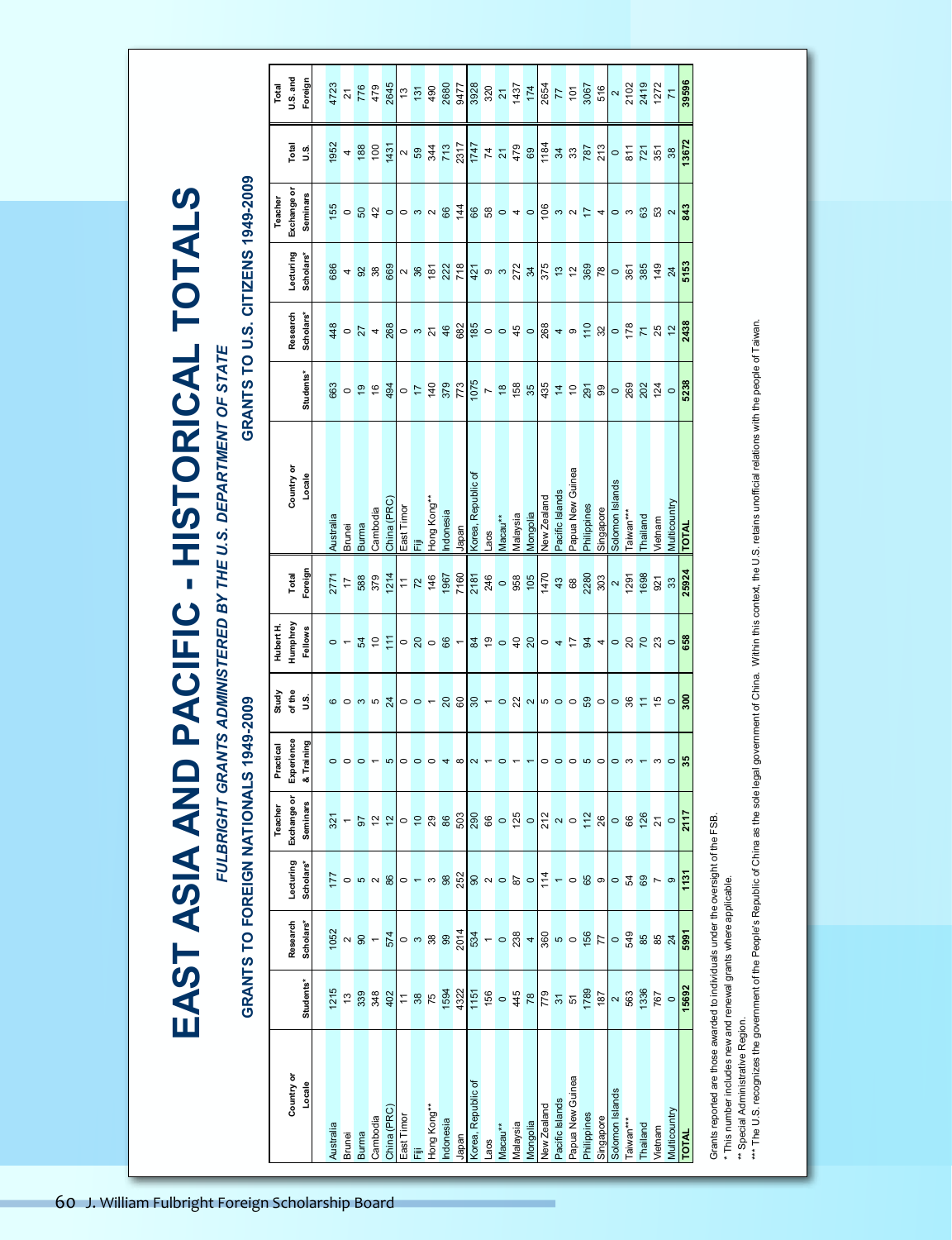EAST ASIA AND PACIFIC - HISTORICAL TOTALS **EAST ASIA AND PACIFIC - HISTORICAL TOTALS** FULBRIGHT GRANTS ADMINISTERED BY THE U.S. DEPARTMENT OF STATE *FULBRIGHT GRANTS ADMINISTERED BY THE U.S. DEPARTMENT OF STATE*

## **GRANTS TO FOREIGN NATIONALS 1949-2009 GRANTS TO U.S. CITIZENS 1949-2009** GRANTS TO FOREIGN NATIONALS 1949-2009

#### GRANTS TO U.S. CITIZENS 1949-2009

| Total     | <b>U.S.</b> and | Foreign         |           | 4723            | 776                                                 | 479            | 2645           | $\frac{3}{2}$  | 131                     | 490             | 2680     | 9477           | 8268                               | 320                      | $\overline{2}$                                              | 1437                     | 174                                                                                                                  |                    | 2654<br>77<br>101 |                  | 3067                                                              | 516             |                  |                  | $2 2102$<br>$2419$ | 1272            | $\overline{7}$  | 39596        |
|-----------|-----------------|-----------------|-----------|-----------------|-----------------------------------------------------|----------------|----------------|----------------|-------------------------|-----------------|----------|----------------|------------------------------------|--------------------------|-------------------------------------------------------------|--------------------------|----------------------------------------------------------------------------------------------------------------------|--------------------|-------------------|------------------|-------------------------------------------------------------------|-----------------|------------------|------------------|--------------------|-----------------|-----------------|--------------|
|           | Total           | $\frac{5}{2}$   | 1952      | $\overline{a}$  | 188                                                 | 100            | 1431           | $\frac{2}{5}$  |                         | 344             | 713      | 2317           |                                    |                          | $\frac{68}{141}$<br>$\frac{42}{141}$                        |                          |                                                                                                                      | 1184               |                   | 34<br>33<br>787  |                                                                   | 213             |                  | $rac{5}{87}$     |                    | 351             | 38              | 13672        |
| Teacher   | Exchange or     | Seminars        |           |                 | $\frac{15}{15}$ o $\frac{12}{15}$ $\frac{12}{15}$ o |                |                |                | $0m$ $\sim$ $8o$        |                 |          | $\frac{14}{4}$ | 880                                |                          |                                                             | $\overline{a}$           | $\circ$                                                                                                              | 106                | S                 |                  | $\alpha \approx 4$                                                |                 |                  |                  |                    | 0 0 0 0 0 0 0   |                 | 843          |
|           | Lecturing       | Scholars*       | 686       |                 | 488                                                 |                | 669            | $\approx$ 86   |                         | 181             | 222      | 718            |                                    |                          | $rac{5}{4}$ $rac{8}{4}$ $rac{1}{2}$ $rac{1}{2}$ $rac{1}{4}$ |                          |                                                                                                                      | 375                |                   | $\frac{1}{2}$    | 369                                                               | $\overline{78}$ | $\frac{0}{361}$  |                  | 385                | 149             | 24              | 5153         |
|           | Research        | Scholars*       |           |                 | $\frac{48}{9}$ 0 $\frac{1}{4}$ + $\frac{88}{9}$     |                |                |                | 0.55                    |                 |          | 682            | $\frac{18}{8}$ o o $\frac{4}{9}$ o |                          |                                                             |                          |                                                                                                                      |                    |                   |                  |                                                                   |                 |                  |                  |                    |                 |                 | 2438         |
|           |                 | Students*       | 663       |                 | $rac{6}{5}$                                         | $\frac{9}{2}$  | 494            |                | $rac{6}{5}$ $rac{4}{5}$ |                 | 379      | 773            | 1075                               |                          | 18 35                                                       |                          |                                                                                                                      |                    |                   |                  | $\frac{5}{3}$ $\frac{4}{3}$ $\approx$ $\frac{5}{3}$ $\frac{8}{3}$ |                 |                  |                  | 088                | $\frac{124}{9}$ |                 |              |
|           | Country or      | Locale          | Australia | Brunei          | Burma                                               | Cambodia       | China (PRC)    | East Timor     |                         | Hong Kong**     | ndonesia | Japan          | Korea, Republic of                 | -aos                     | Macau**                                                     | Malaysia                 | Mongolia                                                                                                             | <b>Vew Zealand</b> | Pacific Islands   | Papua New Guinea | Philippines                                                       | Singapore       | Solomon Islands  | aiwan***         | hailand            | /ietnam         | Multicountry    | <b>TOTAL</b> |
|           | Total           | Foreign         |           | 2771<br>17      | 588                                                 | 379            | 1214           | $\frac{1}{2}$  |                         | 146             | 1967     | 7160           | 2181                               | 246                      | $\circ$                                                     | 958                      | 105                                                                                                                  | 1470               | 43                | 68               | 2280                                                              | 303             | $\frac{2}{1291}$ |                  | 1698               | 921             | 33              | 25924        |
| Hubert H  | Humphrey        | <b>Fellows</b>  |           | $\circ$ $\sim$  | 54                                                  | $\approx$      | 111            |                | $-8000$                 |                 |          |                |                                    |                          | 30098                                                       |                          |                                                                                                                      | $\circ$            | 4                 | $\frac{1}{2}$    | $\frac{9}{4}$ 4                                                   |                 |                  |                  |                    | $-222$          |                 | 658          |
| Study     | of the          | s.              |           | 000             |                                                     | 5              | $\overline{a}$ | $\circ$        |                         | $\circ$ $\sim$  |          | $888 -$        |                                    |                          |                                                             |                          | $\circ$ $\overset{\circ}{\alpha}$ $\sim$ $\overset{\circ}{\alpha}$ $\circ$ $\circ$ $\overset{\circ}{\alpha}$ $\circ$ |                    |                   |                  |                                                                   |                 |                  | $-87$            |                    | $\frac{15}{10}$ |                 | 300          |
| Practical | Experience      | & Training      |           | $\circ$ $\circ$ | $\circ$                                             | $\overline{ }$ | $\mathbf{c}$   | $\circ$        | $\circ$                 | $\circ$         | 4        | $\infty$       | $\sim$ $-$                         |                          | $\circ$                                                     | $\overline{\phantom{0}}$ |                                                                                                                      | $\circ$            | $\circ$           | $\circ$          |                                                                   | $\circ$         |                  | $\circ$ m $\sim$ |                    | $\sim$          |                 | 35           |
| Teacher   | Exchange or     | <b>Seminars</b> | 321       |                 | 50                                                  | 57             | $\frac{1}{2}$  | $\circ$        | $\overline{a}$          | $\overline{29}$ | 86       | 503            | 290                                | 86                       | $\circ$                                                     |                          | $\frac{125}{0}$                                                                                                      | 212                |                   | $\sim$ $\circ$   | $\frac{2}{2}$ 8                                                   |                 | $\circ$ $\circ$  |                  | 126                | $\frac{1}{2}$   | $\circ$         | 2117         |
|           | Lecturing       | Scholars*       | 177       | $\circ$         | 5                                                   | $\sim$         | 86             | $\circ$        |                         | S               | 98       | 252            |                                    | $8^{\circ}$              |                                                             | $87$                     | $\circ$                                                                                                              | 114                | $\leftarrow$      | $\circ$          | 65                                                                | $\circ$         | $\circ$          | 54               | 69                 | $\sim$ $\circ$  |                 | 1131         |
|           | Research        | Scholars*       | 1052      | $\sim$          | $\overline{6}$                                      | $\leftarrow$   | 574            | $\circ$        | S                       | 38              | 99       | 2014           | 534                                | $\overline{\phantom{0}}$ | $\circ$                                                     | 238                      |                                                                                                                      | 360                |                   | $\circ$          | 156                                                               | $\overline{7}$  | $\circ$          | 549              | 85                 | 85              | $\overline{24}$ | 5991         |
|           |                 | Students*       | 1215      | $\frac{3}{2}$   | 339                                                 | 348            | 402            | $\overline{1}$ | 38                      | 75              | 1594     | 4322           | 1151                               | 156                      | $\circ$                                                     | 445                      | 78                                                                                                                   | 779                | $\overline{3}$    | $\overline{5}$   | 1789                                                              | 187             | $\sim$           | 563              | 1336               | 767             | $\circ$         | 15692        |
|           | Country or      |                 |           |                 |                                                     |                |                |                |                         |                 |          |                |                                    |                          |                                                             |                          |                                                                                                                      |                    |                   |                  |                                                                   |                 |                  |                  |                    |                 |                 |              |
|           |                 | Locale          | Australia | Brunei          | Burma                                               | Cambodia       | China (PRC)    | East Timor     |                         | Hong Kong**     | ndonesia | Japan          | Korea, Republic of                 | -aos                     | Macau**                                                     | Nalaysia                 | Mongolia                                                                                                             | <b>Vew Zealand</b> | Pacific Islands   | Papua New Guinea | Philippines                                                       | Singapore       | Solomon Islands  | *** newie        | hailand            | <i>l</i> ietnam | Multicountry    | <b>TOTAL</b> |
|           |                 |                 |           |                 | <b>Scholarship Board</b>                            |                |                |                |                         |                 |          |                |                                    |                          |                                                             |                          |                                                                                                                      |                    |                   |                  |                                                                   |                 |                  |                  |                    |                 |                 |              |
|           |                 |                 |           |                 |                                                     |                |                |                |                         |                 |          |                |                                    |                          |                                                             |                          |                                                                                                                      |                    |                   |                  |                                                                   |                 |                  |                  |                    |                 |                 |              |
|           |                 |                 |           |                 |                                                     |                |                |                |                         |                 |          |                |                                    |                          |                                                             |                          |                                                                                                                      |                    |                   |                  |                                                                   |                 |                  |                  |                    |                 |                 |              |
|           |                 |                 |           |                 |                                                     |                |                |                |                         |                 |          |                |                                    |                          |                                                             |                          |                                                                                                                      |                    |                   |                  |                                                                   |                 |                  |                  |                    |                 |                 |              |
|           |                 |                 |           |                 |                                                     |                |                |                |                         |                 |          |                |                                    |                          |                                                             |                          |                                                                                                                      |                    |                   |                  |                                                                   |                 |                  |                  |                    |                 |                 |              |
|           |                 |                 |           |                 |                                                     |                |                |                |                         |                 |          |                |                                    |                          |                                                             |                          |                                                                                                                      |                    |                   |                  |                                                                   |                 |                  |                  |                    |                 |                 |              |
|           |                 |                 |           |                 |                                                     |                |                |                |                         |                 |          |                |                                    |                          |                                                             |                          |                                                                                                                      |                    |                   |                  |                                                                   |                 |                  |                  |                    |                 |                 |              |
|           |                 |                 |           |                 |                                                     |                |                |                |                         |                 |          |                |                                    |                          |                                                             |                          |                                                                                                                      |                    |                   |                  |                                                                   |                 |                  |                  |                    |                 |                 |              |
|           |                 |                 |           |                 |                                                     |                |                |                |                         |                 |          |                |                                    |                          |                                                             |                          |                                                                                                                      |                    |                   |                  |                                                                   |                 |                  |                  |                    |                 |                 |              |
|           |                 |                 |           |                 |                                                     |                |                |                |                         |                 |          |                |                                    |                          |                                                             |                          |                                                                                                                      |                    |                   |                  |                                                                   |                 |                  |                  |                    |                 |                 |              |

Grants reported are those awarded to individuals under the oversight of the FSB.  $T$  This reported are those awarded to individuals under the oversight of the FSB.

 $*$  This number includes new and renewal grants where applicable. \* This number includes new and renewal grants where applicable

<sup>\*\*</sup> Special Administrative Region.

\*\* Special Administrative Region.<br>\*\*\* The U.S. recognizes the government of the People's Republic of China as the sole legal government of China. Within this context, the U.S. retains unofficial relations with the people o \*\*\* The U.S. recognizes the government of the People's Republic of China as the sole legal government of China. Within this context, the U.S. retains unofficial relations with the people of Taiwan.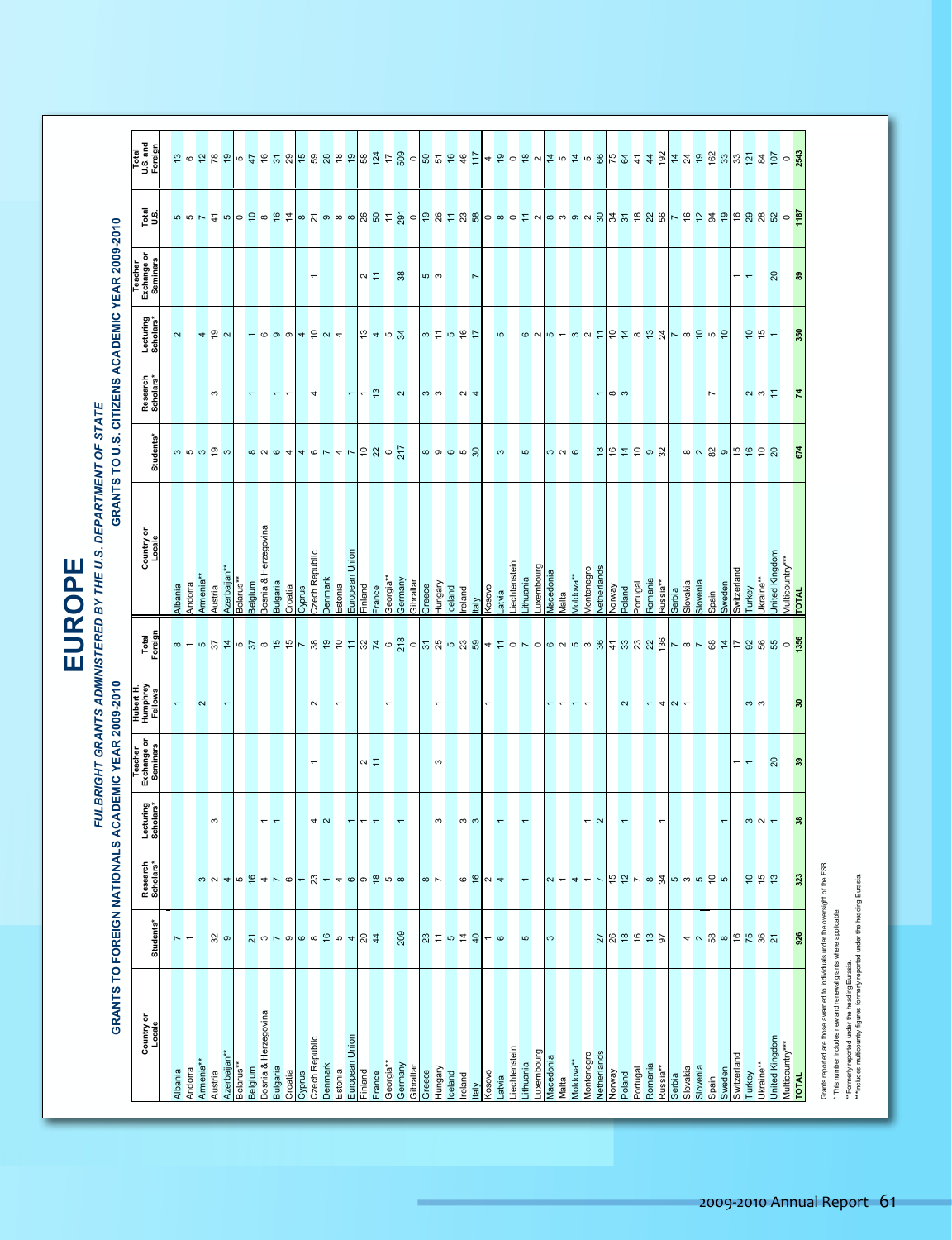|                                 |                     |                                                                        |                                                     |                                                       |                                  |                  | EUROPE                                                           |                                                                     |                                                  |                                    |               |                                                                                      |
|---------------------------------|---------------------|------------------------------------------------------------------------|-----------------------------------------------------|-------------------------------------------------------|----------------------------------|------------------|------------------------------------------------------------------|---------------------------------------------------------------------|--------------------------------------------------|------------------------------------|---------------|--------------------------------------------------------------------------------------|
|                                 |                     |                                                                        |                                                     |                                                       |                                  |                  | DEPARTMENT OF STATE<br>FULBRIGHT GRANTS ADMINISTERED BY THE U.S. |                                                                     |                                                  |                                    |               |                                                                                      |
|                                 |                     |                                                                        | GRANTS TO FOREIGN NATIONALS ACADEMIC YEAR 2009-2010 |                                                       |                                  |                  |                                                                  |                                                                     | GRANTS TO U.S. CITIZENS ACADEMIC YEAR 2009-2010  |                                    |               |                                                                                      |
| Country or<br>Locale            | Students*           | Research<br>Scholars*                                                  | Lecturing<br>Scholars*                              | Teacher<br>Exchange or<br>Seminars                    | Hubert H.<br>Humphrey<br>Fellows | Total<br>Foreign | Country or<br>Locale                                             | <b>Students</b>                                                     | Lecturing<br>Scholars*<br>Research<br>Scholars*  | Teacher<br>Exchange or<br>Seminars | Total<br>U.S. | Total<br>U.S. and<br>Foreign                                                         |
| <b>Albania</b>                  |                     |                                                                        |                                                     |                                                       | $\leftarrow$                     |                  | Albania                                                          |                                                                     | $\sim$                                           |                                    |               |                                                                                      |
| Andorra                         | $\sim$ $-$          |                                                                        |                                                     |                                                       |                                  |                  | Andorra                                                          |                                                                     |                                                  |                                    |               |                                                                                      |
| Armenia**<br>Austria            |                     | $m$ $\alpha$ $\rightarrow$                                             | $\boldsymbol{\varsigma}$                            |                                                       | $\boldsymbol{\sim}$              |                  | Armenia**<br>Austria                                             | $\begin{array}{c} 0.7566 & 0.7566 \\ 0.756 & 0.7566 \\ \end{array}$ | 4P<br>$\boldsymbol{\infty}$                      |                                    |               |                                                                                      |
| Azerbaijan**                    | $\frac{2}{3}$       |                                                                        |                                                     |                                                       | $\overline{\phantom{0}}$         |                  | Azerbaijan <sup>**</sup>                                         |                                                                     |                                                  |                                    |               |                                                                                      |
| Belarus**                       |                     |                                                                        |                                                     |                                                       |                                  |                  | Belarus**                                                        |                                                                     |                                                  |                                    |               |                                                                                      |
| Bosnia & Herzegovina<br>Belgium |                     | $\frac{1}{10}$                                                         |                                                     |                                                       |                                  |                  | Bosnia & Herzegovina<br>Belgium                                  |                                                                     | $ \circ$ $\circ$ $\circ$ $+$ $\circ$ $\circ$ $+$ |                                    |               |                                                                                      |
| Bulgaria                        |                     |                                                                        | $- -$                                               |                                                       |                                  |                  | <b>Bulgaria</b>                                                  |                                                                     | $\overline{\phantom{m}}$                         |                                    |               |                                                                                      |
| Croatia                         |                     |                                                                        |                                                     |                                                       |                                  |                  | Croatia<br>Cyprus                                                |                                                                     |                                                  |                                    |               |                                                                                      |
| Czech Republic<br>Cyprus        |                     | $\overline{\phantom{a}}$                                               |                                                     | $\overline{ }$                                        | $\sim$                           |                  | Czech Republic                                                   |                                                                     | 4                                                | $\overline{\phantom{a}}$           |               |                                                                                      |
| Denmark                         |                     |                                                                        | 4 <sub>N</sub>                                      |                                                       |                                  |                  | Denmark                                                          |                                                                     |                                                  |                                    |               |                                                                                      |
| Estonia                         |                     | $\sqrt{2}$ $-$ 4 $\circ$ $\circ$ $\frac{3}{2}$ $\circ$ $\circ$ $\circ$ | F                                                   |                                                       | $\overline{\phantom{0}}$         |                  | Estonia                                                          |                                                                     |                                                  |                                    |               |                                                                                      |
| European Union<br>Finland       |                     |                                                                        | $\overline{ }$                                      |                                                       |                                  |                  | European Union<br>Finland                                        |                                                                     | $\overline{\phantom{a}}$                         |                                    |               |                                                                                      |
| France                          |                     |                                                                        | $\overline{\phantom{0}}$                            | $\sim$ $\stackrel{\scriptstyle >}{\scriptstyle \sim}$ |                                  |                  | France                                                           |                                                                     | 5402<br>$\boldsymbol{\mathfrak{S}}$              | $\sim$ $\sim$                      |               |                                                                                      |
| Georgia**                       |                     |                                                                        |                                                     |                                                       | $\overline{\phantom{0}}$         |                  | Georgia**                                                        |                                                                     |                                                  |                                    |               |                                                                                      |
| Germany<br>Gibraltar            | 209                 |                                                                        |                                                     |                                                       |                                  |                  | Germany<br>Gibraltar                                             |                                                                     | $\sim$                                           | $38$                               |               |                                                                                      |
| Greece                          |                     | $\infty$ $\sim$                                                        |                                                     |                                                       |                                  |                  | Greece                                                           |                                                                     | က က                                              | <u>  ო</u>                         |               |                                                                                      |
| Hungary                         |                     |                                                                        | S                                                   | S                                                     | $\overline{\phantom{0}}$         |                  |                                                                  |                                                                     |                                                  |                                    |               |                                                                                      |
| Iceland<br>Ireland              |                     | $\circ$                                                                |                                                     |                                                       |                                  |                  | Hungary<br>Iceland<br>Ireland                                    |                                                                     | 3925                                             |                                    |               |                                                                                      |
| taly                            | $25 - 5$            | $\frac{6}{2}$                                                          | ოო                                                  |                                                       |                                  |                  | taly                                                             | $\circ$ $\circ$ $\circ$ $\circ$ $\circ$                             | $\sim$ 4                                         | $\overline{\phantom{a}}$           |               |                                                                                      |
| Kosovo                          | $-\circ$            | $\frac{4}{4}$                                                          |                                                     |                                                       |                                  |                  | ovosoy                                                           |                                                                     |                                                  |                                    |               |                                                                                      |
| Latvia                          |                     |                                                                        | $\overline{\phantom{0}}$                            |                                                       |                                  |                  | Latvia                                                           | $\mathfrak{S}$                                                      | $\mathfrak{S}$                                   |                                    |               |                                                                                      |
| Liechtenstein<br>Lithuania      | ю                   |                                                                        |                                                     |                                                       |                                  |                  | Liechtenstein<br>Lithuania                                       | $\mathbf 5$                                                         |                                                  |                                    |               |                                                                                      |
| Luxembourg                      |                     |                                                                        |                                                     |                                                       |                                  |                  |                                                                  |                                                                     |                                                  |                                    |               |                                                                                      |
| Macedonia                       | $\infty$            | $\sim$ $-$                                                             |                                                     |                                                       |                                  |                  | Luxembourg<br>Macedonia                                          |                                                                     |                                                  |                                    |               |                                                                                      |
| Moldova**<br>Malta              |                     | 4                                                                      |                                                     |                                                       |                                  |                  | Moldova**<br>Malta                                               | $m$ $\alpha$ $\omega$                                               |                                                  |                                    |               |                                                                                      |
| Montenegro                      |                     | $\blacksquare$                                                         | $\overline{\phantom{m}}$                            |                                                       |                                  |                  | Montenegro                                                       |                                                                     |                                                  |                                    |               |                                                                                      |
| Netherlands<br>Norway           |                     | $\overline{ }$                                                         | $\sim$                                              |                                                       |                                  |                  | Netherlands<br><b>ABAJON</b>                                     |                                                                     | ᡪ                                                |                                    |               |                                                                                      |
| Poland                          | 282925              | おかてるみるるものも                                                             | $\overline{\phantom{0}}$                            |                                                       | $\sim$                           |                  | Poland                                                           |                                                                     | OND-DQZZOZZ-02020<br>ထက                          |                                    |               | 4 @ 0 @ u <mark>= m = m &amp; k \$ ± # @ = # @ # \$ @ @ #</mark> \$ @ <mark>#</mark> |
| Romania<br>Portugal             |                     |                                                                        |                                                     |                                                       | $\overline{\phantom{m}}$         |                  | Portugal<br>Romania                                              |                                                                     |                                                  |                                    |               |                                                                                      |
| Russia**                        |                     |                                                                        | $\overline{ }$                                      |                                                       | 4                                |                  |                                                                  |                                                                     |                                                  |                                    |               |                                                                                      |
| Serbia                          |                     |                                                                        |                                                     |                                                       | $\sim$ $-$                       |                  | Russia**<br>Serbia                                               |                                                                     |                                                  |                                    |               |                                                                                      |
| Slovenia<br>Slovakia            |                     |                                                                        |                                                     |                                                       |                                  |                  | Slovakia<br>Slovenia                                             |                                                                     |                                                  |                                    |               |                                                                                      |
| Spain                           |                     |                                                                        |                                                     |                                                       |                                  |                  | Spain                                                            |                                                                     | $\overline{\phantom{a}}$                         |                                    |               |                                                                                      |
| Sweden<br>Switzerland           |                     |                                                                        | $\overline{\phantom{0}}$                            |                                                       |                                  |                  | Sweden<br>Switzerland                                            |                                                                     |                                                  |                                    |               |                                                                                      |
|                                 |                     |                                                                        |                                                     | $ -$                                                  |                                  |                  |                                                                  |                                                                     |                                                  |                                    |               |                                                                                      |
| Ukraine**<br>Turkey             | 4 2 3 3 5 5 6 7 8 7 | 555                                                                    | $m \sim$                                            |                                                       | ოო                               |                  | Turkey<br>Ukraine**                                              | 023959998                                                           | $\frac{1}{2}$<br>$\sim$ $\sim$ $\sim$            | $\overline{\phantom{a}}$           |               |                                                                                      |
| United Kingdom                  |                     |                                                                        |                                                     | $20\,$                                                |                                  |                  | United Kingdom                                                   |                                                                     |                                                  | $\overline{c}$                     |               |                                                                                      |
| Multicountry***<br>TOTAL        |                     |                                                                        |                                                     |                                                       |                                  |                  | Multicountry***                                                  |                                                                     |                                                  |                                    |               |                                                                                      |
|                                 | 926                 | 323                                                                    | $\boldsymbol{\mathsf{B}}$                           | 39                                                    | $\rm ^{30}$                      |                  |                                                                  | 674                                                                 | 350<br>$\overline{z}$                            | 89                                 |               |                                                                                      |

Grants reported are those awarded to individuals under the oversight of the FSB. Yugoslavia\* 728 636 70 311 26 This number includes new and renewal grants where applicable. Multicountry\*\* 0 22 23 1823 0 1823 0 1823 0 23 1 Grants reported are those awarded to individuals under the oversight of the FSB.<br>• This number includes new and renewall grants where applicable.<br>• "Formerly reported under the heading Eurasia.<br>• "Includes multicounty figu

"Formerly reported under the heading European and the main state of the heading European and the heading European and the heading European and the heading European and the heading European and the heading European and the **\*\*\***Includes multicountry figures formerly reported under the heading Eurasia.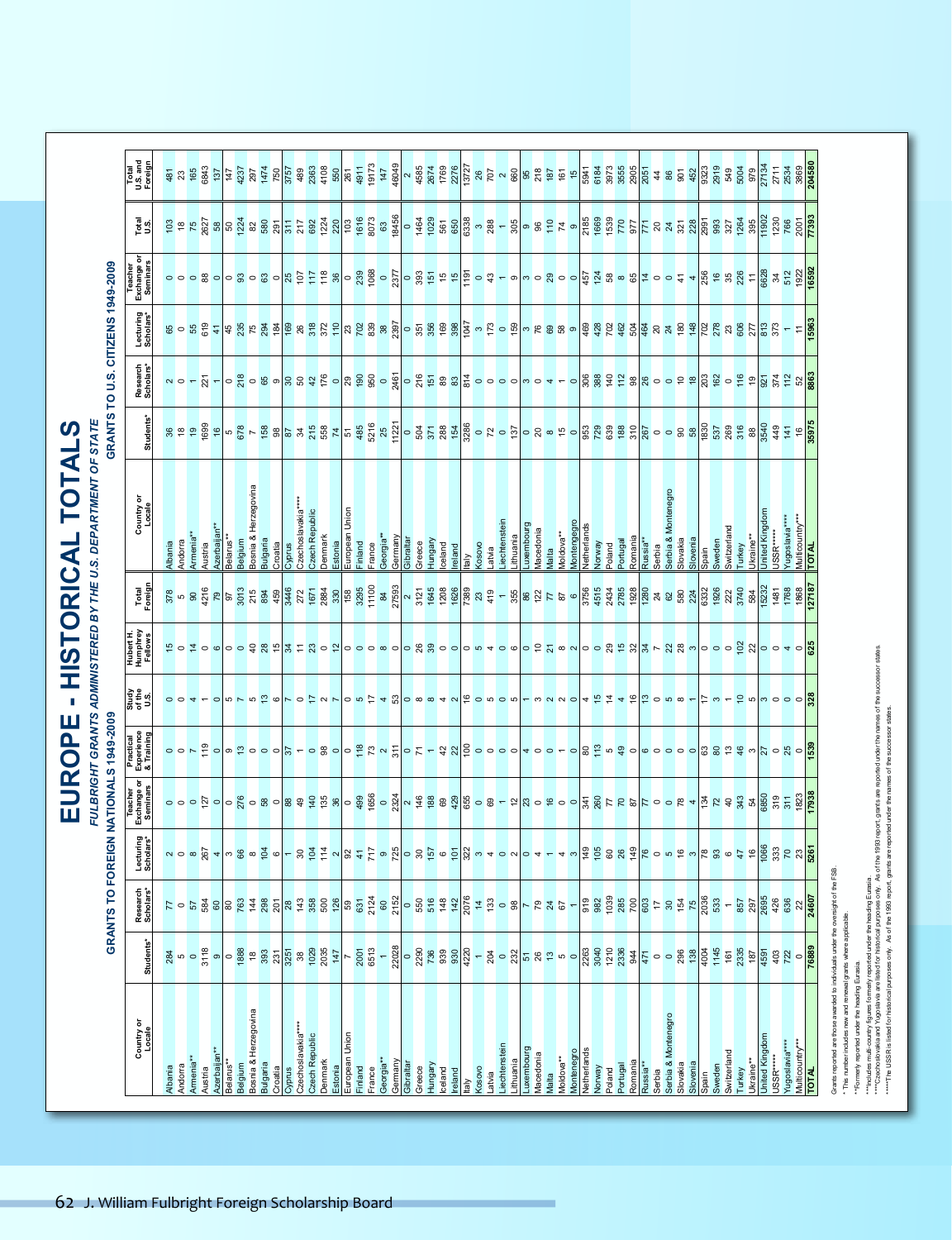EUROPE - HISTORICAL TOTALS<br>FULBRIGHT GRANTS ADMINISTREED BY THE U.S. DEPARTMENT OF STATE **EUROPE - HISTORICAL TOTALS**

*FULBRIGHT GRANTS ADMINISTERED BY THE U.S. DEPARTMENT OF STATE*

|                                       | Total<br>U.S. and<br>Foreign                |                           |         |                     |         |                         |                       |         |                                 |                 |                               |        |                    |                |         |                       |                |                   |           |                            |           |        |                              |         |         |                                                                                                                                                                                                                                 |       |                            |           |                                                                                                                                                                                                                                                                                                                        |                  |                     |                   |             |                              |        |          |                                 |                               |                     |                           |                   |       |        |                          |           |                       |                                                            |                                 |                                 |                                                                                  |
|---------------------------------------|---------------------------------------------|---------------------------|---------|---------------------|---------|-------------------------|-----------------------|---------|---------------------------------|-----------------|-------------------------------|--------|--------------------|----------------|---------|-----------------------|----------------|-------------------|-----------|----------------------------|-----------|--------|------------------------------|---------|---------|---------------------------------------------------------------------------------------------------------------------------------------------------------------------------------------------------------------------------------|-------|----------------------------|-----------|------------------------------------------------------------------------------------------------------------------------------------------------------------------------------------------------------------------------------------------------------------------------------------------------------------------------|------------------|---------------------|-------------------|-------------|------------------------------|--------|----------|---------------------------------|-------------------------------|---------------------|---------------------------|-------------------|-------|--------|--------------------------|-----------|-----------------------|------------------------------------------------------------|---------------------------------|---------------------------------|----------------------------------------------------------------------------------|
|                                       | Total<br>U.S.                               |                           |         |                     |         |                         |                       |         |                                 |                 |                               |        |                    |                |         |                       |                |                   |           |                            |           |        |                              |         |         |                                                                                                                                                                                                                                 |       |                            |           |                                                                                                                                                                                                                                                                                                                        |                  |                     |                   |             |                              |        |          |                                 |                               |                     |                           |                   |       |        |                          |           |                       |                                                            |                                 |                                 |                                                                                  |
|                                       | Exchange or                                 |                           |         |                     |         |                         |                       |         |                                 |                 |                               |        |                    |                |         |                       |                |                   |           |                            |           |        |                              |         |         |                                                                                                                                                                                                                                 |       |                            |           |                                                                                                                                                                                                                                                                                                                        |                  |                     |                   |             |                              |        |          |                                 |                               |                     |                           |                   |       |        |                          |           |                       |                                                            |                                 |                                 |                                                                                  |
|                                       | Lecturing<br>Scholars*                      |                           |         |                     |         |                         |                       |         |                                 |                 |                               |        |                    |                |         |                       |                |                   |           |                            |           |        |                              |         |         |                                                                                                                                                                                                                                 |       |                            |           |                                                                                                                                                                                                                                                                                                                        |                  |                     |                   |             |                              |        |          |                                 |                               |                     |                           |                   |       |        |                          |           |                       |                                                            |                                 |                                 |                                                                                  |
|                                       | Research<br>Scholars*                       |                           |         |                     |         |                         |                       |         |                                 |                 |                               |        |                    |                |         |                       |                |                   |           |                            |           |        |                              |         |         |                                                                                                                                                                                                                                 |       |                            |           |                                                                                                                                                                                                                                                                                                                        |                  |                     |                   |             |                              |        |          |                                 |                               |                     |                           |                   |       |        |                          |           |                       |                                                            |                                 |                                 |                                                                                  |
| GRANTS TO U.S. CITIZENS 1949-2009     | Students*                                   |                           |         |                     |         |                         |                       |         |                                 |                 |                               |        |                    |                |         |                       |                |                   |           |                            |           |        |                              |         |         | း အေထာင်း အေထာင်း အေထာင်း အေထာင်း အေထာင်း အေထာင်း အေထာင်း အေထာင် အေထာင် အေထာင် အေထာင် အေထာင် အေထာင် အေထာင် အေထ<br>အေထာင် အေထာင် အေထာင် အေထာင် အေထာင် အေထာင် အေထာင် အေထာင် အေထာင် အေထာင် အေထာင် အေထာင် အေထာင် အေထာင် အေထာင် အေထာ |       |                            |           |                                                                                                                                                                                                                                                                                                                        |                  |                     |                   |             |                              |        |          |                                 |                               |                     |                           |                   |       |        |                          |           |                       |                                                            |                                 |                                 |                                                                                  |
|                                       | Country or<br>Locale                        | Albania                   |         | Armenia*<br>Austria |         | Azerbaijan<br>Belarus** |                       |         | 3elgium<br>3osnia & Herzegovina |                 | Bulgaria<br>Croatia<br>Cyprus |        | ">zechoslavakia    | Czech Republic | Jenmark | Estonia<br>European l |                | Finland<br>France |           | Georgia**<br>Germany       | Gibraltar |        | Greece<br>Hungary<br>Iceland |         | eland   | Cosovo<br>taly                                                                                                                                                                                                                  | atvia | .iechtenstein<br>.ithuania |           |                                                                                                                                                                                                                                                                                                                        | lacedonia        | Aoldova**           | <b>Iontengegr</b> | letherlands | Norway<br>Poland<br>Portugal |        |          |                                 | Romania<br>Russia**<br>Serbia |                     | Serbia & Mont<br>Slovakia | Slovenia<br>Spain |       | Sweden | Switzerland<br>Turkey    |           |                       | United Kingdom<br>USSR*****                                | Yugoslavia***<br>Multicountry** |                                 |                                                                                  |
|                                       | Total<br>Foreign                            |                           |         |                     |         |                         |                       |         |                                 |                 |                               |        |                    |                |         |                       |                |                   |           |                            |           |        |                              |         |         |                                                                                                                                                                                                                                 |       |                            |           |                                                                                                                                                                                                                                                                                                                        |                  |                     |                   |             |                              |        |          |                                 |                               |                     |                           |                   |       |        |                          |           |                       |                                                            |                                 |                                 |                                                                                  |
|                                       | Hubert H.<br>Humphrey<br>Fellows            |                           |         |                     |         |                         |                       |         |                                 |                 |                               |        |                    |                |         |                       |                |                   |           |                            |           |        |                              |         |         |                                                                                                                                                                                                                                 |       |                            |           |                                                                                                                                                                                                                                                                                                                        |                  |                     |                   |             |                              |        |          |                                 |                               |                     |                           |                   |       |        |                          |           |                       |                                                            |                                 |                                 |                                                                                  |
|                                       | Study<br>of the<br>U.S.                     |                           |         |                     |         |                         |                       |         |                                 |                 |                               |        |                    |                |         |                       |                |                   |           |                            |           |        |                              |         |         | o 0 0 r 0 10 0 r 0 12 d r 0 0 10 12 4 13 0 8 8 4 0 16 0 10 0 1 - 0 4 0 17 4 5 17 0 10 1 2 10 10 10 11 0 12 12 1                                                                                                                 |       |                            |           |                                                                                                                                                                                                                                                                                                                        |                  |                     |                   |             |                              |        |          |                                 |                               |                     |                           |                   |       |        |                          |           |                       |                                                            |                                 |                                 |                                                                                  |
|                                       | Practical<br>Experience<br>& Training       |                           |         |                     |         |                         |                       |         |                                 |                 |                               |        |                    |                |         |                       |                |                   |           |                            |           |        |                              |         |         |                                                                                                                                                                                                                                 |       |                            |           |                                                                                                                                                                                                                                                                                                                        |                  |                     |                   |             |                              |        |          |                                 |                               |                     |                           |                   |       |        |                          |           |                       |                                                            |                                 |                                 |                                                                                  |
|                                       | ŏ<br>Exchange<br>Seminars                   |                           |         |                     |         |                         |                       |         |                                 |                 |                               |        |                    |                |         |                       |                |                   |           |                            |           |        |                              |         |         |                                                                                                                                                                                                                                 |       |                            |           |                                                                                                                                                                                                                                                                                                                        |                  |                     |                   |             |                              |        |          |                                 |                               |                     |                           |                   |       |        |                          |           |                       |                                                            |                                 |                                 |                                                                                  |
|                                       | ecturing<br>:holars*<br>ិ និ                |                           |         |                     |         |                         |                       |         |                                 |                 |                               |        |                    |                |         |                       |                |                   |           |                            |           |        |                              |         |         | <u> ဟဝစစ္ကို နာယြန္လာ တဲ့ ေမြး အိမ္ ကို အိမ္ ေမာင္တို႔ အေန ဝတ္ေန မဆိုင္သာ အခ်ိန္ ေမာ္လား အေန အစ္လြန္ အိမ္ အိမ္ အ</u>                                                                                                            |       |                            |           |                                                                                                                                                                                                                                                                                                                        |                  |                     |                   |             |                              |        |          |                                 |                               |                     |                           |                   |       |        |                          |           |                       |                                                            |                                 |                                 |                                                                                  |
| GRANTS TO FOREIGN NATIONALS 1949-2009 | Research<br>Scholars*                       |                           |         | 88007               |         |                         |                       |         |                                 |                 |                               |        |                    |                |         |                       |                |                   |           | $888878888888888878278880$ |           |        |                              |         |         | $\frac{42}{200}$ $\frac{1}{20}$ $\frac{1}{20}$ $\frac{1}{20}$ $\frac{1}{20}$ $\frac{1}{20}$ $\frac{1}{20}$ $\frac{1}{20}$ $\frac{1}{20}$ $\frac{1}{20}$ $\frac{1}{20}$                                                          |       |                            |           |                                                                                                                                                                                                                                                                                                                        |                  |                     | $\leftarrow$      |             |                              |        |          |                                 |                               |                     |                           |                   |       |        | $\overline{\phantom{0}}$ |           |                       | 857<br>295<br>426<br>636<br>22 <mark>4607</mark>           |                                 |                                 |                                                                                  |
|                                       | Students*                                   | $\frac{28}{9}$ is $\circ$ |         |                     | 3118    |                         |                       |         |                                 |                 |                               |        |                    |                |         | $\frac{1029}{147}$    |                | 2001              |           |                            |           |        |                              |         |         | $- \frac{8}{22028} \circ \frac{8}{2288} \circ \frac{8}{228} \circ \frac{8}{228} \circ \frac{8}{228} \circ \frac{8}{228} \circ \frac{8}{228}$                                                                                    |       |                            |           | $\frac{22}{15}$ $\frac{1}{8}$ $\frac{8}{15}$ $\frac{1}{8}$ $\frac{1}{2}$ $\frac{1}{2}$ $\frac{1}{2}$ $\frac{1}{2}$ $\frac{1}{2}$ $\frac{1}{2}$ $\frac{1}{2}$ $\frac{1}{2}$ $\frac{1}{2}$ $\frac{1}{2}$ $\frac{1}{2}$ $\frac{1}{2}$ $\frac{1}{2}$ $\frac{1}{2}$ $\frac{1}{2}$ $\frac{1}{2}$ $\frac{1}{2}$ $\frac{1}{2}$ |                  |                     |                   |             |                              |        |          |                                 |                               |                     |                           |                   |       |        |                          |           |                       | $\frac{185}{189}$<br>$\frac{187}{459}$<br>$\frac{187}{42}$ |                                 | 76889                           |                                                                                  |
|                                       |                                             |                           |         |                     |         |                         |                       |         |                                 |                 |                               |        |                    |                |         |                       |                |                   |           |                            |           |        |                              |         |         |                                                                                                                                                                                                                                 |       |                            |           |                                                                                                                                                                                                                                                                                                                        |                  |                     |                   |             |                              |        |          |                                 |                               |                     |                           |                   |       |        |                          |           |                       |                                                            |                                 |                                 |                                                                                  |
|                                       |                                             |                           |         |                     |         |                         |                       |         |                                 |                 |                               |        |                    |                |         |                       |                |                   |           |                            |           |        |                              |         |         |                                                                                                                                                                                                                                 |       |                            |           |                                                                                                                                                                                                                                                                                                                        |                  |                     |                   |             |                              |        |          |                                 |                               |                     |                           |                   |       |        |                          |           |                       |                                                            |                                 |                                 |                                                                                  |
|                                       | Country or<br>Locale                        | Albania                   | Andorra | Armenia**           | Austria | Azerbaijan*             | Belarus <sup>**</sup> | Belgium | Bosnia & Herzegovina            | <b>Bulgaria</b> | Croatia                       | Cyprus | Czechoslavakia**** | Czech Republic | Denmark | Estonia               | European Union | Finland<br>France | Georgia** | Germany                    | Gibraltar | Greece | Hungary                      | lceland | Ireland | <b>ORONO</b><br>taly                                                                                                                                                                                                            | atvia | iechtenstein               | .ithuania | uxembourg                                                                                                                                                                                                                                                                                                              | <b>Macedonia</b> | Moldova**<br>Vlaita | Montenegro        | Netherlands | Norway                       | Poland | Portugal | Romania<br>Russia <sup>**</sup> | Serbia                        | Serbia & Montenegro | Slovakia                  | Slovenia          | Spain | Sweden | Switzerland<br>Turkey    | Jkraine** | <b>Jnited Kingdom</b> | <b>JSSR*****</b>                                           | rw**dpostavia                   | Multicountry***<br><b>TOTAL</b> | Grants reported are those awarded to individuals under the oversight of the FSB. |
|                                       | Villiam Fulbright Foreign Scholarship Board |                           |         |                     |         |                         |                       |         |                                 |                 |                               |        |                    |                |         |                       |                |                   |           |                            |           |        |                              |         |         |                                                                                                                                                                                                                                 |       |                            |           |                                                                                                                                                                                                                                                                                                                        |                  |                     |                   |             |                              |        |          |                                 |                               |                     |                           |                   |       |        |                          |           |                       |                                                            |                                 |                                 |                                                                                  |
|                                       |                                             |                           |         |                     |         |                         |                       |         |                                 |                 |                               |        |                    |                |         |                       |                |                   |           |                            |           |        |                              |         |         |                                                                                                                                                                                                                                 |       |                            |           |                                                                                                                                                                                                                                                                                                                        |                  |                     |                   |             |                              |        |          |                                 |                               |                     |                           |                   |       |        |                          |           |                       |                                                            |                                 |                                 |                                                                                  |
|                                       |                                             |                           |         |                     |         |                         |                       |         |                                 |                 |                               |        |                    |                |         |                       |                |                   |           |                            |           |        |                              |         |         |                                                                                                                                                                                                                                 |       |                            |           |                                                                                                                                                                                                                                                                                                                        |                  |                     |                   |             |                              |        |          |                                 |                               |                     |                           |                   |       |        |                          |           |                       |                                                            |                                 |                                 |                                                                                  |
|                                       |                                             |                           |         |                     |         |                         |                       |         |                                 |                 |                               |        |                    |                |         |                       |                |                   |           |                            |           |        |                              |         |         |                                                                                                                                                                                                                                 |       |                            |           |                                                                                                                                                                                                                                                                                                                        |                  |                     |                   |             |                              |        |          |                                 |                               |                     |                           |                   |       |        |                          |           |                       |                                                            |                                 |                                 |                                                                                  |
|                                       |                                             |                           |         |                     |         |                         |                       |         |                                 |                 |                               |        |                    |                |         |                       |                |                   |           |                            |           |        |                              |         |         |                                                                                                                                                                                                                                 |       |                            |           |                                                                                                                                                                                                                                                                                                                        |                  |                     |                   |             |                              |        |          |                                 |                               |                     |                           |                   |       |        |                          |           |                       |                                                            |                                 |                                 |                                                                                  |
|                                       |                                             |                           |         |                     |         |                         |                       |         |                                 |                 |                               |        |                    |                |         |                       |                |                   |           |                            |           |        |                              |         |         |                                                                                                                                                                                                                                 |       |                            |           |                                                                                                                                                                                                                                                                                                                        |                  |                     |                   |             |                              |        |          |                                 |                               |                     |                           |                   |       |        |                          |           |                       |                                                            |                                 |                                 |                                                                                  |
|                                       |                                             |                           |         |                     |         |                         |                       |         |                                 |                 |                               |        |                    |                |         |                       |                |                   |           |                            |           |        |                              |         |         |                                                                                                                                                                                                                                 |       |                            |           |                                                                                                                                                                                                                                                                                                                        |                  |                     |                   |             |                              |        |          |                                 |                               |                     |                           |                   |       |        |                          |           |                       |                                                            |                                 |                                 |                                                                                  |
|                                       |                                             |                           |         |                     |         |                         |                       |         |                                 |                 |                               |        |                    |                |         |                       |                |                   |           |                            |           |        |                              |         |         |                                                                                                                                                                                                                                 |       |                            |           |                                                                                                                                                                                                                                                                                                                        |                  |                     |                   |             |                              |        |          |                                 |                               |                     |                           |                   |       |        |                          |           |                       |                                                            |                                 |                                 |                                                                                  |
|                                       |                                             |                           |         |                     |         |                         |                       |         |                                 |                 |                               |        |                    |                |         |                       |                |                   |           |                            |           |        |                              |         |         |                                                                                                                                                                                                                                 |       |                            |           |                                                                                                                                                                                                                                                                                                                        |                  |                     |                   |             |                              |        |          |                                 |                               |                     |                           |                   |       |        |                          |           |                       |                                                            |                                 |                                 |                                                                                  |
|                                       |                                             |                           |         |                     |         |                         |                       |         |                                 |                 |                               |        |                    |                |         |                       |                |                   |           |                            |           |        |                              |         |         |                                                                                                                                                                                                                                 |       |                            |           |                                                                                                                                                                                                                                                                                                                        |                  |                     |                   |             |                              |        |          |                                 |                               |                     |                           |                   |       |        |                          |           |                       |                                                            |                                 |                                 |                                                                                  |
|                                       |                                             |                           |         |                     |         |                         |                       |         |                                 |                 |                               |        |                    |                |         |                       |                |                   |           |                            |           |        |                              |         |         |                                                                                                                                                                                                                                 |       |                            |           |                                                                                                                                                                                                                                                                                                                        |                  |                     |                   |             |                              |        |          |                                 |                               |                     |                           |                   |       |        |                          |           |                       |                                                            |                                 |                                 |                                                                                  |

\* This number includes new and renewal grants where applicable.

\*\*Formerly reported under the heading Eurasia.

\*\*\*Includes multi-country figures formerly reported under the heading Eurasia.

- This nurber includes raw and terelwal grains where applicable.<br>- "Formerly reported under the heading Eurasia.<br>- "Croated multi-county fugues for an experience the heading Eurasia.<br>- "Croated multi-county fugues for an \*\*\*\*Czechoslovakia and Yugoslavia are listed for historical purposes only. As of the 1993 report, grants are reported under the names of the successor states.

\*\*\*\*\*The USSR is listed for historical purposes only. As of the 1993 report, grants are reported under the names of the successor states.

62 J. William Fulbright Foreign Scholarship Board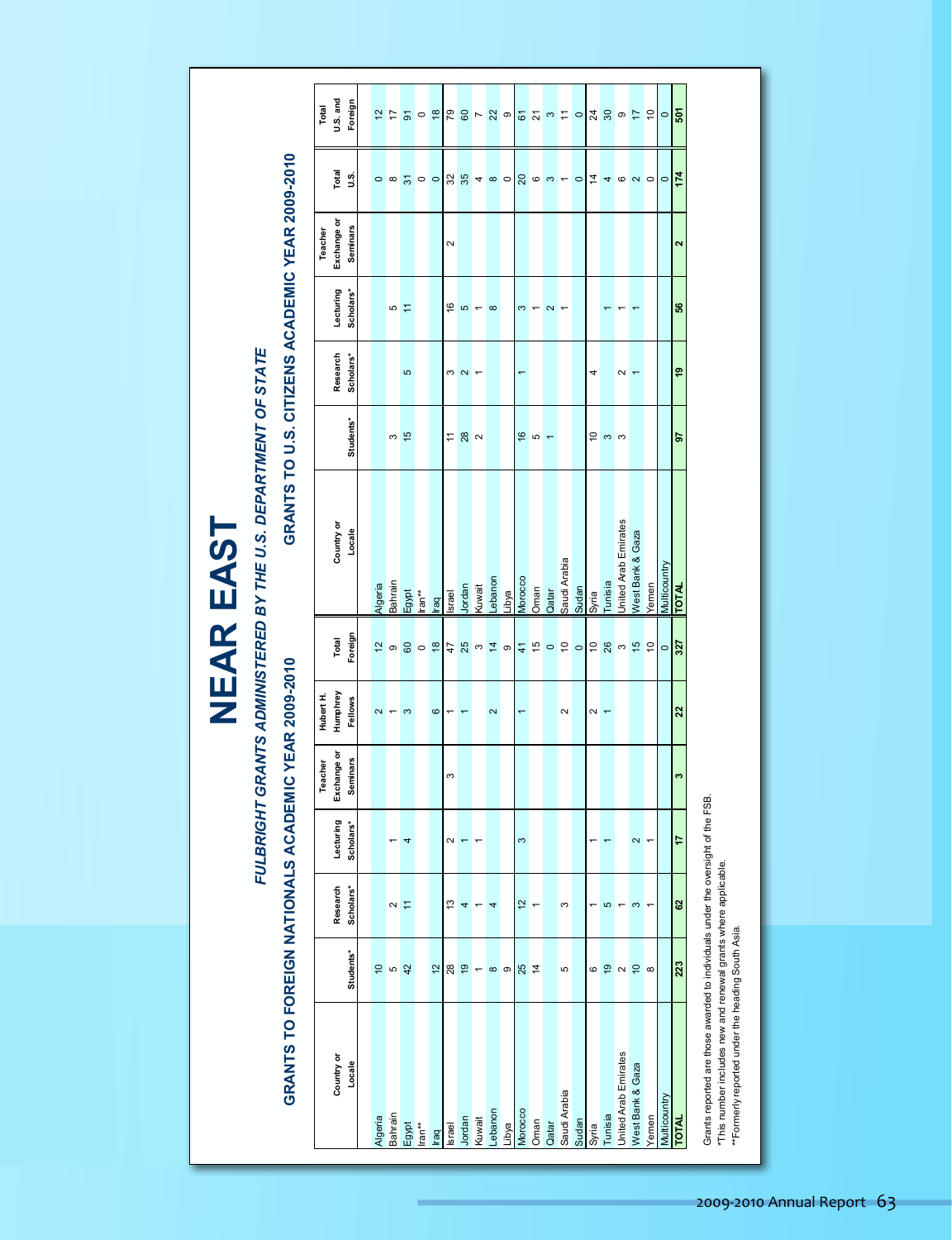| E<br>ၯ                                        |
|-----------------------------------------------|
| ď<br>Ш                                        |
| $\boldsymbol{\alpha}$<br>$\blacktriangleleft$ |
| Ш<br><b>Contract</b>                          |

#### FULBRIGHT GRANTS ADMINISTERED BY THE U.S. DEPARTMENT OF STATE *FULBRIGHT GRANTS ADMINISTERED BY THE U.S. DEPARTMENT OF STATE*

# GRANTS TO FOREIGN NATIONALS ACADEMIC YEAR 2009-2010

# GRANTS TO U.S. CITIZENS ACADEMIC YEAR 2009-2010 **GRANTS TO FOREIGN NATIONALS ACADEMIC YEAR 2009-2010 GRANTS TO U.S. CITIZENS ACADEMIC YEAR 2009-2010**

|                                                                                                                                                                                                                        |                |               |                          | Teacher         | Hubert H.               |                       |                      |                          |                      | Teacher           |                 | Total           |
|------------------------------------------------------------------------------------------------------------------------------------------------------------------------------------------------------------------------|----------------|---------------|--------------------------|-----------------|-------------------------|-----------------------|----------------------|--------------------------|----------------------|-------------------|-----------------|-----------------|
| Country or                                                                                                                                                                                                             |                | Research      | Lecturing                | Exchange or     | Humphrey                | Total                 | Country or           | Research                 | Lecturing            | Exchange or       | Total           | U.S. and        |
| Locale                                                                                                                                                                                                                 | Students*      | Scholars*     | Scholars*                | <b>Seminars</b> | Fellows                 | Foreign               | Locale               | Scholars*<br>Students*   | Scholars*            | Seminars          | 9.<br>J         | Foreign         |
|                                                                                                                                                                                                                        |                |               |                          |                 |                         |                       |                      |                          |                      |                   |                 |                 |
|                                                                                                                                                                                                                        | $\tilde{a}$    |               |                          |                 | $\overline{\mathbf{c}}$ | $\frac{1}{2}$         | Algeria              |                          |                      |                   | $\circ$         | $\frac{1}{2}$   |
|                                                                                                                                                                                                                        | <b>LO</b>      | $\sim$        |                          |                 |                         | $\circ$               | Bahrain              | S                        | Ю                    |                   | $\infty$        | 17              |
|                                                                                                                                                                                                                        | 42             | Ξ             | 4                        |                 | S                       | 60                    | Egypt                | Ю<br>$\frac{15}{2}$      | Ξ                    |                   | $\overline{3}$  | 5               |
|                                                                                                                                                                                                                        |                |               |                          |                 |                         | $\circ$               | lran**               |                          |                      |                   | $\circ$         | $\circ$         |
| Algeria<br>Bahrain<br>Egypt<br>Iran <sup>**</sup><br>Israel<br>Muwat<br>Lubya<br>Claar Toman<br>Sudan<br>Sudan<br>Sudan<br>Unlisia Emirates<br>Unlisia<br>Unlisia<br>Unlisia<br>Unlisia<br>Wana Bank & Gaza<br>Veme II | $\frac{1}{2}$  |               |                          |                 | $\circ$                 | $\frac{8}{2}$         | lraq                 |                          |                      |                   | $\circ$         | $\frac{8}{2}$   |
|                                                                                                                                                                                                                        | 28             | 13            | $\sim$                   | S               |                         | 47                    | Israel               | S<br>$\tilde{t}$         | $\frac{6}{5}$        | $\sim$            | 32              | 54              |
|                                                                                                                                                                                                                        | $\frac{1}{2}$  | 4             |                          |                 |                         | 25                    | Jordan               | 2<br>28                  | 5                    |                   | 35              | 60              |
|                                                                                                                                                                                                                        | $\overline{ }$ |               |                          |                 |                         | S                     | Kuwait               | $\sim$                   |                      |                   | 4               | $\overline{ }$  |
|                                                                                                                                                                                                                        | $\infty$       | 4             |                          |                 | $\mathbf{\Omega}$       | $\frac{4}{3}$         | Lebanon              |                          | $\infty$             |                   | $\infty$        | 22              |
|                                                                                                                                                                                                                        | თ              |               |                          |                 |                         | $\circ$               | Libya                |                          |                      |                   | $\circ$         | $\circ$         |
|                                                                                                                                                                                                                        | 25             | $\frac{1}{2}$ | $\infty$                 |                 | $\overline{ }$          | $\frac{4}{1}$         | Morocco              | $\frac{6}{2}$            | S                    |                   | $\overline{20}$ | $\overline{6}$  |
|                                                                                                                                                                                                                        | $\frac{4}{4}$  |               |                          |                 |                         | 15                    | Oman                 | <b>LO</b>                |                      |                   | $\circ$         | $\overline{2}$  |
|                                                                                                                                                                                                                        |                |               |                          |                 |                         | $\circ$               | Qatar                | $\overline{\phantom{0}}$ | $\mathbf{\tilde{c}}$ |                   | S               | $\infty$        |
|                                                                                                                                                                                                                        | Ю              | S             |                          |                 | $\sim$                  | $\tilde{\mathcal{L}}$ | Saudi Arabia         |                          |                      |                   | ۰               | $\overline{1}$  |
|                                                                                                                                                                                                                        |                |               |                          |                 |                         | $\circ$               | Sudan                |                          |                      |                   | $\circ$         | $\circ$         |
|                                                                                                                                                                                                                        | 6              |               |                          |                 | $\boldsymbol{\sim}$     | $\tilde{a}$           | Syria                | 4<br>ő                   |                      |                   | 4               | $\overline{24}$ |
|                                                                                                                                                                                                                        | é,             | 5             |                          |                 | $\overline{ }$          | 26                    | Tunisia              | $\infty$                 |                      |                   | 4               | 30              |
|                                                                                                                                                                                                                        | $\sim$         |               |                          |                 |                         | $\sim$                | United Arab Emirates | 2<br>က                   |                      |                   | ဖ               | $\circ$         |
|                                                                                                                                                                                                                        | $\overline{C}$ | S             | $\overline{\mathbf{C}}$  |                 |                         | $\frac{15}{2}$        | West Bank & Gaza     |                          |                      |                   | $\sim$          | $\overline{1}$  |
|                                                                                                                                                                                                                        | $\infty$       |               | $\overline{\phantom{0}}$ |                 |                         | $\overline{0}$        | Yemen                |                          |                      |                   | $\circ$         | $\tilde{a}$     |
|                                                                                                                                                                                                                        |                |               |                          |                 |                         | $\circ$               | Multicountry         |                          |                      |                   | $\circ$         | $\circ$         |
|                                                                                                                                                                                                                        | 223            | 62            | 17                       | ø               | 22                      | 327                   | <b>TOTAL</b>         | ę,<br>56                 | 56                   | $\mathbf{\alpha}$ | 174             | 507             |
|                                                                                                                                                                                                                        |                |               |                          |                 |                         |                       |                      |                          |                      |                   |                 |                 |

Grants reported are those awarded to individuals under the oversight of the FSB.<br>\*This number includes new and renewal grants where applicable.<br>\*\*Formerly reported under the heading South Asia. Grants reported are those awarded to individuals under the oversight of the FSB.

\*This number includes new and renewal grants where applicable.

\*\*Formerly reported under the heading South Asia. \*\*Formerly reported under the heading South Asia.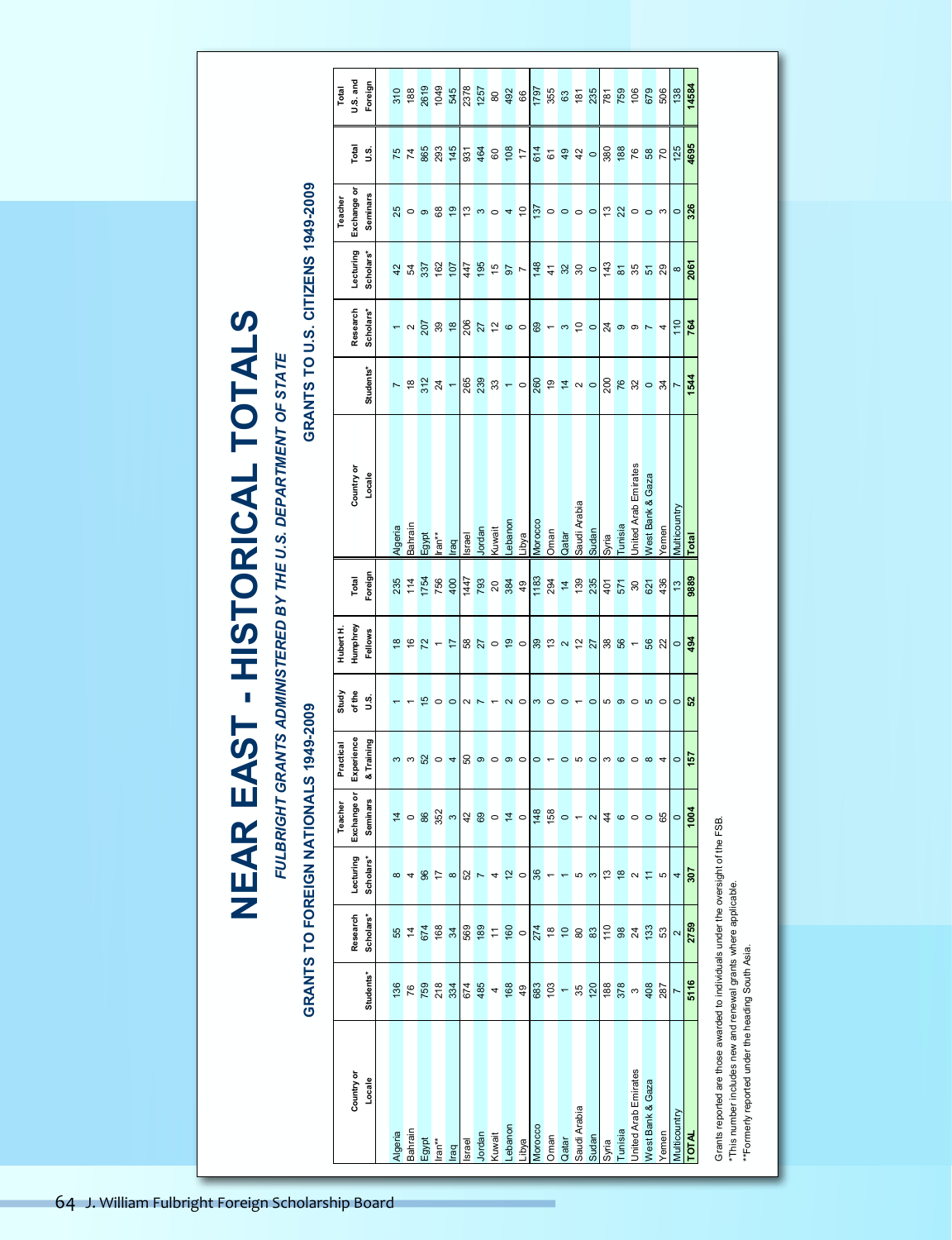FULBRIGHT GRANTS ADMINISTERED BY THE U.S. DEPARTMENT OF STATE *FULBRIGHT GRANTS ADMINISTERED BY THE U.S. DEPARTMENT OF STATE*

**NEAR EAST - HISTORICAL TOTALS**

**NEAR EAST - HISTORICAL TOTALS** 

### **GRANTS TO FOREIGN NATIONALS 1949-2009 GRANTS TO U.S. CITIZENS 1949-2009** GRANTS TO FOREIGN NATIONALS 1949-2009

#### GRANTS TO U.S. CITIZENS 1949-2009

Grants reported are those awarded to individuals under the oversight of the FSB.<br>\*This number includes new and renewal grants where applicable.<br>\*\*Formerly reported under the heading South Asia. Grants reported are those awarded to individuals under the oversight of the FSB. \*This number includes new and renewal grants where applicable.

\*\*Formerly reported under the heading South Asia. \*\*Formerly reported under the heading South Asia.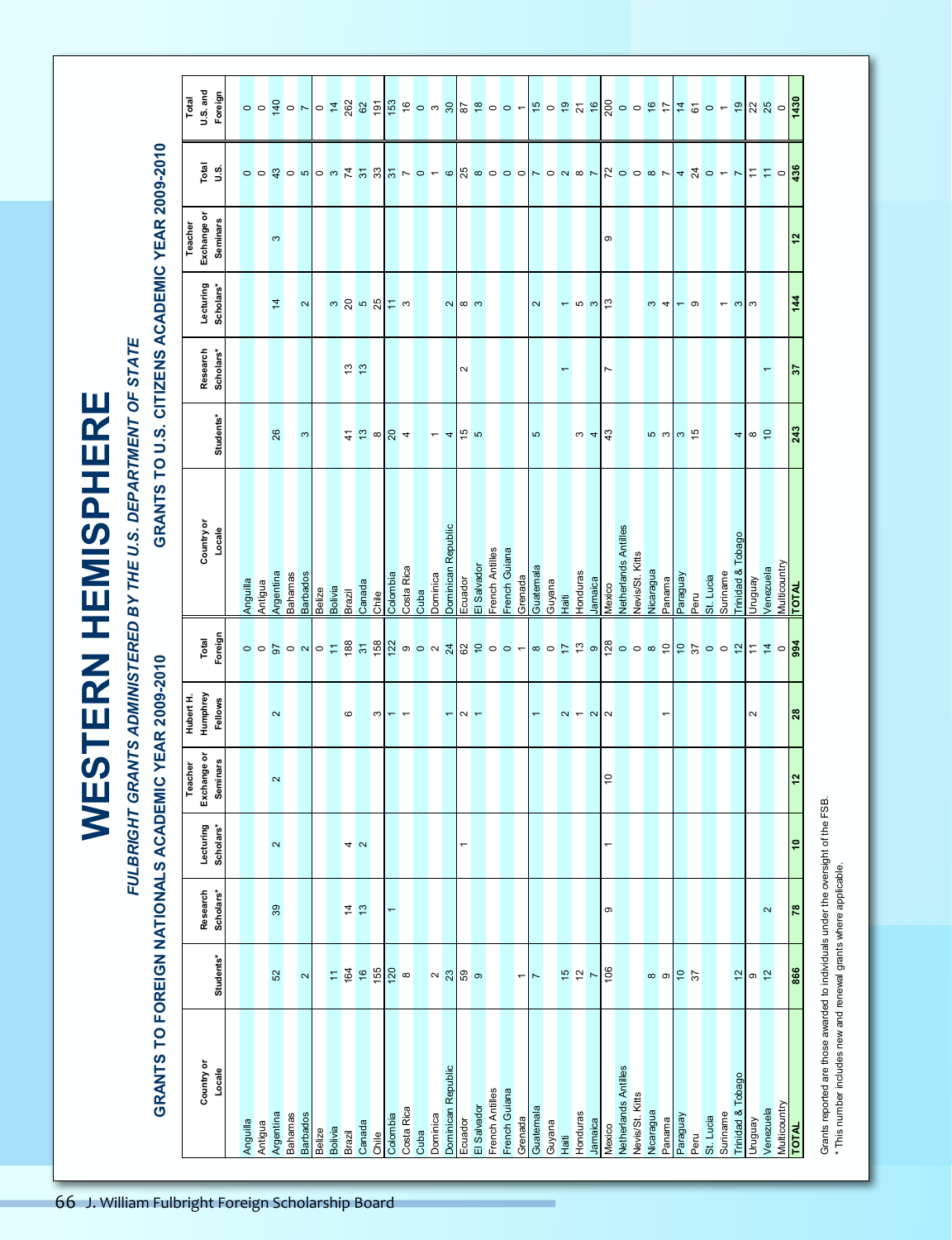|                                  |                      |                                                                                  |                       |                        |                                |                                  |                                                                                                    | <b>WESTERN HEMISPHERE</b>                                     |                                     |                          |                                                          |                            |                                                                                                                                 |
|----------------------------------|----------------------|----------------------------------------------------------------------------------|-----------------------|------------------------|--------------------------------|----------------------------------|----------------------------------------------------------------------------------------------------|---------------------------------------------------------------|-------------------------------------|--------------------------|----------------------------------------------------------|----------------------------|---------------------------------------------------------------------------------------------------------------------------------|
|                                  |                      |                                                                                  |                       |                        |                                |                                  |                                                                                                    | FULBRIGHT GRANTS ADMINISTERED BY THE U.S. DEPARTMENT OF STATE |                                     |                          |                                                          |                            |                                                                                                                                 |
|                                  | <b>GRANTS TO</b>     | FOREIGN NATIONALS ACADEMIC YEAR 2009-2010                                        |                       |                        |                                |                                  |                                                                                                    | GRANTS TO U.S. CITIZENS ACAD                                  |                                     |                          |                                                          | <b>EMIC YEAR 2009-2010</b> |                                                                                                                                 |
|                                  |                      |                                                                                  |                       |                        | Teacher                        |                                  |                                                                                                    |                                                               |                                     |                          | Teacher                                                  |                            | Total                                                                                                                           |
|                                  | Country or<br>Locale | Students*                                                                        | Research<br>Scholars* | Lecturing<br>Scholars* | Exchange or<br><b>Seminars</b> | Hubert H.<br>Humphrey<br>Fellows | Foreign<br>Total                                                                                   | Country or<br>Locale                                          | Students*                           | Research<br>Scholars*    | Exchange or<br><b>Seminars</b><br>Lecturing<br>Scholars* | Total<br>U.S.              | <b>U.S.</b> and<br>Foreign                                                                                                      |
|                                  |                      |                                                                                  |                       |                        |                                |                                  |                                                                                                    |                                                               |                                     |                          |                                                          |                            |                                                                                                                                 |
| Anguilla                         |                      |                                                                                  |                       |                        |                                |                                  |                                                                                                    | Anguilla                                                      |                                     |                          |                                                          |                            |                                                                                                                                 |
| Antigua                          |                      |                                                                                  |                       |                        |                                |                                  |                                                                                                    | Antigua                                                       |                                     |                          |                                                          |                            | $\begin{array}{c c c c c c} \hline \circ & \circ & \bullet & \bullet \\ \hline \circ & \bullet & \bullet & \bullet \end{array}$ |
| Argentina                        |                      | $52\,$                                                                           | $39$                  | $\boldsymbol{\sim}$    | $\sim$                         | $\sim$                           |                                                                                                    | Argentina                                                     | 26                                  |                          | $\mathfrak{S}$<br>4                                      |                            |                                                                                                                                 |
| <b>Bahamas</b>                   |                      |                                                                                  |                       |                        |                                |                                  |                                                                                                    | Bahamas                                                       |                                     |                          |                                                          |                            |                                                                                                                                 |
| <b>Barbados</b>                  |                      | $\boldsymbol{\sim}$                                                              |                       |                        |                                |                                  |                                                                                                    | <b>Barbados</b>                                               | $\mathfrak{S}$                      |                          | $\sim$                                                   |                            |                                                                                                                                 |
| Bolivia<br>Belize                |                      |                                                                                  |                       |                        |                                |                                  | <mark>ဝဝဥပေ တြင် အွမ္မို</mark> အဲ့ စတိ အျင္မြဲဝင္ စြစ္ ေဆြးစြဲ စြဲ ေဆြးေပါင္း ေဆ <mark>ြးေ</mark> | Bolivia<br><b>Belize</b>                                      |                                     |                          |                                                          | $\frac{8}{9}$              |                                                                                                                                 |
| Brazil                           |                      | 7990                                                                             |                       |                        |                                | $\mathbf{\circ}$                 |                                                                                                    | <b>Brazil</b>                                                 |                                     |                          | ო <mark>ლ</mark> ს გე                                    |                            |                                                                                                                                 |
| Canada                           |                      |                                                                                  | $\frac{4}{9}$         | 4 <sub>o</sub>         |                                |                                  |                                                                                                    | Canada                                                        |                                     | $\frac{13}{12}$          |                                                          |                            |                                                                                                                                 |
| Chile<br>C                       |                      |                                                                                  |                       |                        |                                | S                                |                                                                                                    | Chile                                                         | $rac{4}{3}$ $rac{8}{3}$ $rac{4}{3}$ |                          |                                                          |                            |                                                                                                                                 |
| Colombia                         |                      |                                                                                  | $\leftarrow$          |                        |                                |                                  |                                                                                                    | Colombia                                                      |                                     |                          |                                                          |                            |                                                                                                                                 |
| Costa Rica                       |                      |                                                                                  |                       |                        |                                | $- -$                            |                                                                                                    | Costa Rica                                                    |                                     |                          | $\frac{1}{2}$ a                                          |                            |                                                                                                                                 |
| Cuba                             |                      |                                                                                  |                       |                        |                                |                                  |                                                                                                    | Cuba                                                          |                                     |                          |                                                          |                            |                                                                                                                                 |
| Dominica                         |                      |                                                                                  |                       |                        |                                |                                  |                                                                                                    | Dominica                                                      |                                     |                          |                                                          |                            |                                                                                                                                 |
| Dominican Republic               |                      | $\sim$ $\frac{1}{2}$ $\frac{1}{2}$ $\frac{1}{2}$ ອ                               |                       |                        |                                | $\overline{\phantom{m}}$         |                                                                                                    | Dominican Republic                                            | $-4$                                |                          |                                                          |                            |                                                                                                                                 |
| Ecuador                          |                      |                                                                                  |                       | $\overline{ }$         |                                |                                  |                                                                                                    | Ecuador                                                       |                                     | $\sim$                   |                                                          |                            |                                                                                                                                 |
| El Salvador                      |                      |                                                                                  |                       |                        |                                | $\sim$ $-$                       |                                                                                                    | El Salvador<br>French Antilles                                | $\frac{5}{4}$                       |                          | $\sim$ $\sim$ $\sim$                                     |                            |                                                                                                                                 |
| French Antilles<br>French Guiana |                      |                                                                                  |                       |                        |                                |                                  |                                                                                                    |                                                               |                                     |                          |                                                          |                            |                                                                                                                                 |
|                                  |                      |                                                                                  |                       |                        |                                |                                  |                                                                                                    | French Guiana                                                 |                                     |                          |                                                          |                            |                                                                                                                                 |
| Grenada                          |                      | $\overline{\phantom{a}}$                                                         |                       |                        |                                |                                  |                                                                                                    | Grenada                                                       |                                     |                          |                                                          |                            |                                                                                                                                 |
| Guatemala                        |                      | $\blacktriangleright$                                                            |                       |                        |                                | $\overline{ }$                   |                                                                                                    | Guatemala                                                     | LO.                                 |                          |                                                          |                            |                                                                                                                                 |
| Guyana                           |                      |                                                                                  |                       |                        |                                |                                  |                                                                                                    | Guyana                                                        |                                     |                          |                                                          |                            |                                                                                                                                 |
| Honduras<br>Haiti                |                      | $\frac{15}{2}$                                                                   |                       |                        |                                | $\alpha$ $\sim$ $\alpha$         |                                                                                                    | Honduras<br>Hait                                              |                                     | $\overline{\phantom{0}}$ | $-$ ഗ $\sim$   $\sim$                                    |                            |                                                                                                                                 |
| Jamaica                          |                      |                                                                                  |                       |                        |                                |                                  |                                                                                                    | Jamaica                                                       | $\frac{4}{10}$                      |                          |                                                          |                            |                                                                                                                                 |
| Mexico                           |                      | 106                                                                              | $\circ$               | $\overline{a}$         | $\overline{0}$                 |                                  |                                                                                                    | Mexico                                                        | 43                                  | $\overline{r}$           | თ                                                        |                            |                                                                                                                                 |
| Netherlands Antilles             |                      |                                                                                  |                       |                        |                                |                                  |                                                                                                    | Netherlands Antilles                                          |                                     |                          |                                                          |                            |                                                                                                                                 |
| Nevis/St. Kitts                  |                      |                                                                                  |                       |                        |                                |                                  |                                                                                                    | Nevis/St. Kitts                                               |                                     |                          |                                                          |                            |                                                                                                                                 |
| Nicaragua<br>Panama              |                      |                                                                                  |                       |                        |                                | $\overline{\phantom{0}}$         |                                                                                                    | Nicaragua<br>Panama                                           |                                     |                          | $\omega$ 4                                               |                            |                                                                                                                                 |
| <b>Venbeue</b>                   |                      | $\frac{10}{10}$                                                                  |                       |                        |                                |                                  |                                                                                                    | Paraguay                                                      |                                     |                          |                                                          |                            |                                                                                                                                 |
| Peru                             |                      |                                                                                  |                       |                        |                                |                                  |                                                                                                    | Peru                                                          |                                     |                          | $-$ ത                                                    |                            |                                                                                                                                 |
| St. Lucia                        |                      |                                                                                  |                       |                        |                                |                                  |                                                                                                    | St. Lucia                                                     |                                     |                          |                                                          |                            |                                                                                                                                 |
| Suriname                         |                      |                                                                                  |                       |                        |                                |                                  |                                                                                                    | Suriname                                                      |                                     |                          | $\overline{\phantom{0}}$                                 |                            |                                                                                                                                 |
| Trinidad & Tobago                |                      | $\overline{\mathcal{L}}$                                                         |                       |                        |                                |                                  |                                                                                                    | Trinidad & Tobago                                             |                                     |                          | $\mathfrak{S}$                                           |                            |                                                                                                                                 |
| Venbnun                          |                      | 92                                                                               |                       |                        |                                | $\sim$                           |                                                                                                    | Venbnun                                                       | $\frac{4}{10}$ $\frac{6}{10}$       |                          | S                                                        |                            |                                                                                                                                 |
| Multicountry<br>Venezuela        |                      |                                                                                  | $\boldsymbol{\sim}$   |                        |                                |                                  |                                                                                                    | Multicountry<br>Venezuela                                     |                                     | $\overline{\phantom{0}}$ |                                                          |                            |                                                                                                                                 |
| <b>TOTAL</b>                     |                      | 866                                                                              | $\overline{78}$       | $\overline{e}$         | 12                             | 28                               |                                                                                                    | <b>TOTAL</b>                                                  | 243                                 | 57                       | $\frac{2}{3}$<br>$\overline{4}$                          |                            |                                                                                                                                 |
|                                  |                      |                                                                                  |                       |                        |                                |                                  |                                                                                                    |                                                               |                                     |                          |                                                          |                            |                                                                                                                                 |
|                                  |                      | Grants reported are those awarded to individuals under the oversight of the FSB. |                       |                        |                                |                                  |                                                                                                    |                                                               |                                     |                          |                                                          |                            |                                                                                                                                 |

Grants reported are those awarded to individuals under the oversight of the FSB. Grants reported are those awarded to individuals under the oversigh<br>\* This number includes new and renewal grants where applicable. \* This number includes new and renewal grants where applicable.